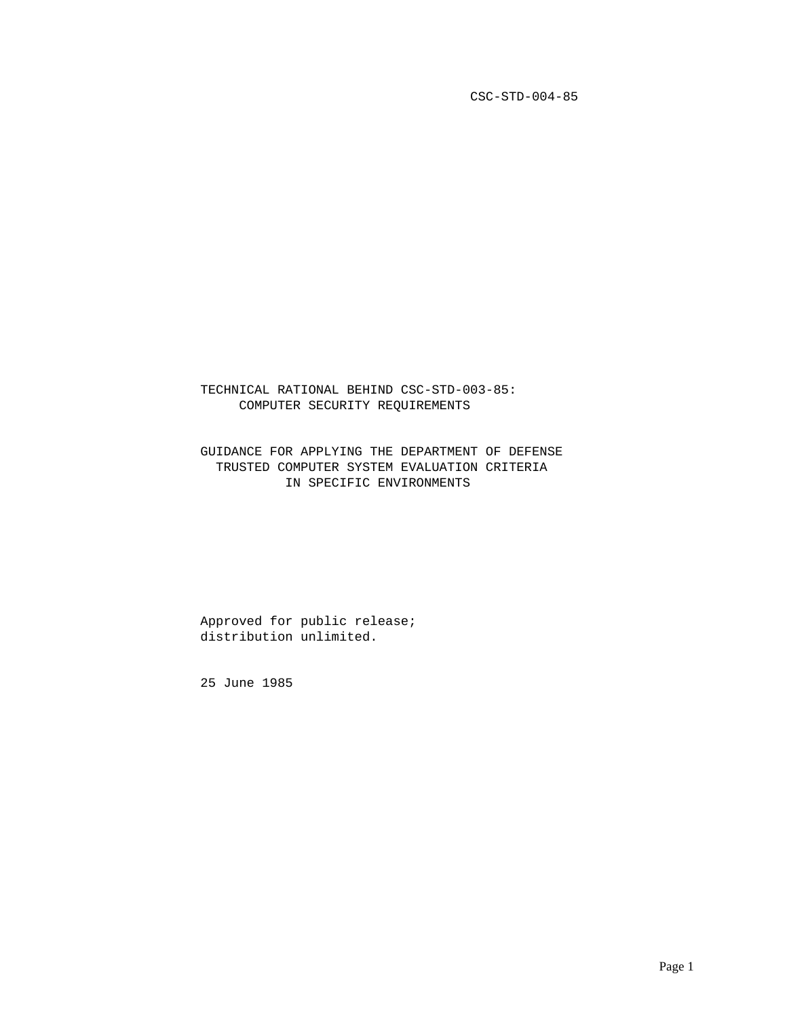CSC-STD-004-85

 TECHNICAL RATIONAL BEHIND CSC-STD-003-85: COMPUTER SECURITY REQUIREMENTS

# GUIDANCE FOR APPLYING THE DEPARTMENT OF DEFENSE TRUSTED COMPUTER SYSTEM EVALUATION CRITERIA IN SPECIFIC ENVIRONMENTS

 Approved for public release; distribution unlimited.

25 June 1985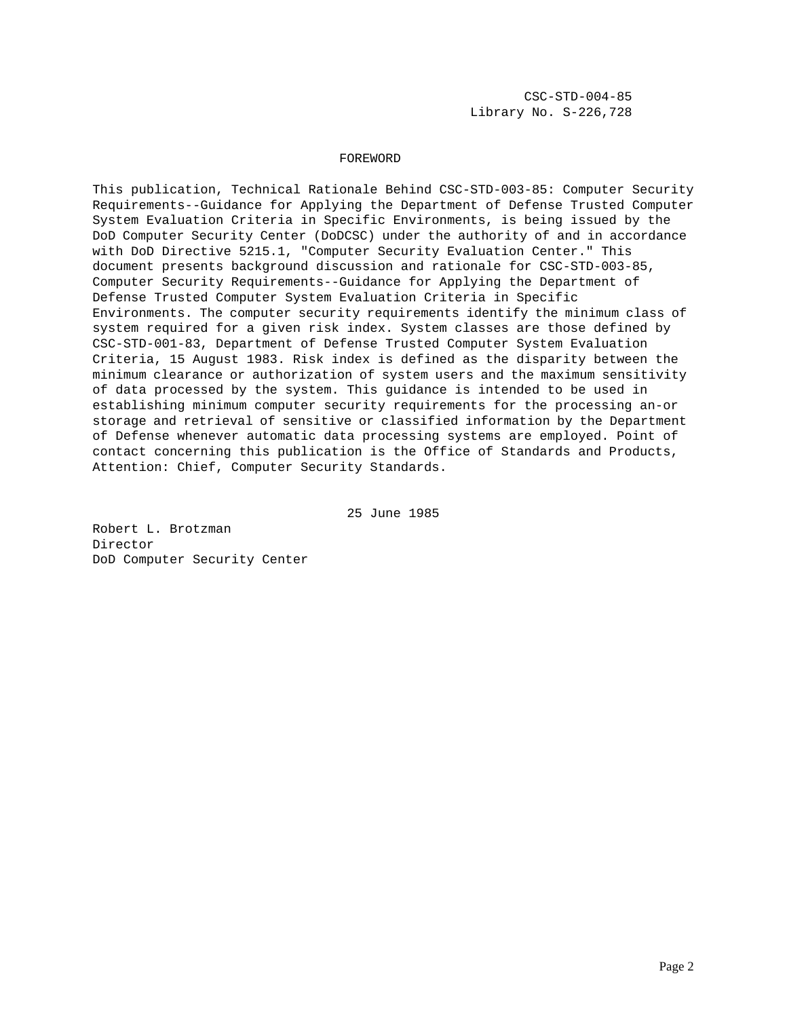CSC-STD-004-85 Library No. S-226,728

## FOREWORD

This publication, Technical Rationale Behind CSC-STD-003-85: Computer Security Requirements--Guidance for Applying the Department of Defense Trusted Computer System Evaluation Criteria in Specific Environments, is being issued by the DoD Computer Security Center (DoDCSC) under the authority of and in accordance with DoD Directive 5215.1, "Computer Security Evaluation Center." This document presents background discussion and rationale for CSC-STD-003-85, Computer Security Requirements--Guidance for Applying the Department of Defense Trusted Computer System Evaluation Criteria in Specific Environments. The computer security requirements identify the minimum class of system required for a given risk index. System classes are those defined by CSC-STD-001-83, Department of Defense Trusted Computer System Evaluation Criteria, 15 August 1983. Risk index is defined as the disparity between the minimum clearance or authorization of system users and the maximum sensitivity of data processed by the system. This guidance is intended to be used in establishing minimum computer security requirements for the processing an-or storage and retrieval of sensitive or classified information by the Department of Defense whenever automatic data processing systems are employed. Point of contact concerning this publication is the Office of Standards and Products, Attention: Chief, Computer Security Standards.

25 June 1985

Robert L. Brotzman Director DoD Computer Security Center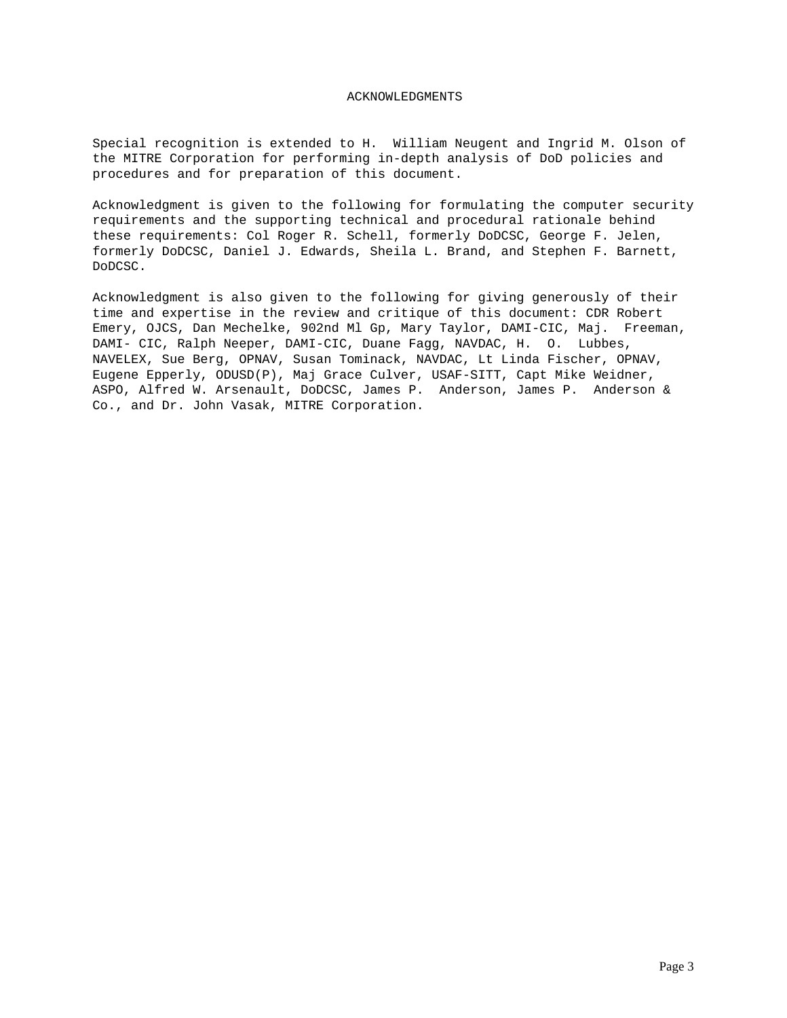## ACKNOWLEDGMENTS

Special recognition is extended to H. William Neugent and Ingrid M. Olson of the MITRE Corporation for performing in-depth analysis of DoD policies and procedures and for preparation of this document.

Acknowledgment is given to the following for formulating the computer security requirements and the supporting technical and procedural rationale behind these requirements: Col Roger R. Schell, formerly DoDCSC, George F. Jelen, formerly DoDCSC, Daniel J. Edwards, Sheila L. Brand, and Stephen F. Barnett, DoDCSC.

Acknowledgment is also given to the following for giving generously of their time and expertise in the review and critique of this document: CDR Robert Emery, OJCS, Dan Mechelke, 902nd Ml Gp, Mary Taylor, DAMI-CIC, Maj. Freeman, DAMI- CIC, Ralph Neeper, DAMI-CIC, Duane Fagg, NAVDAC, H. O. Lubbes, NAVELEX, Sue Berg, OPNAV, Susan Tominack, NAVDAC, Lt Linda Fischer, OPNAV, Eugene Epperly, ODUSD(P), Maj Grace Culver, USAF-SITT, Capt Mike Weidner, ASPO, Alfred W. Arsenault, DoDCSC, James P. Anderson, James P. Anderson & Co., and Dr. John Vasak, MITRE Corporation.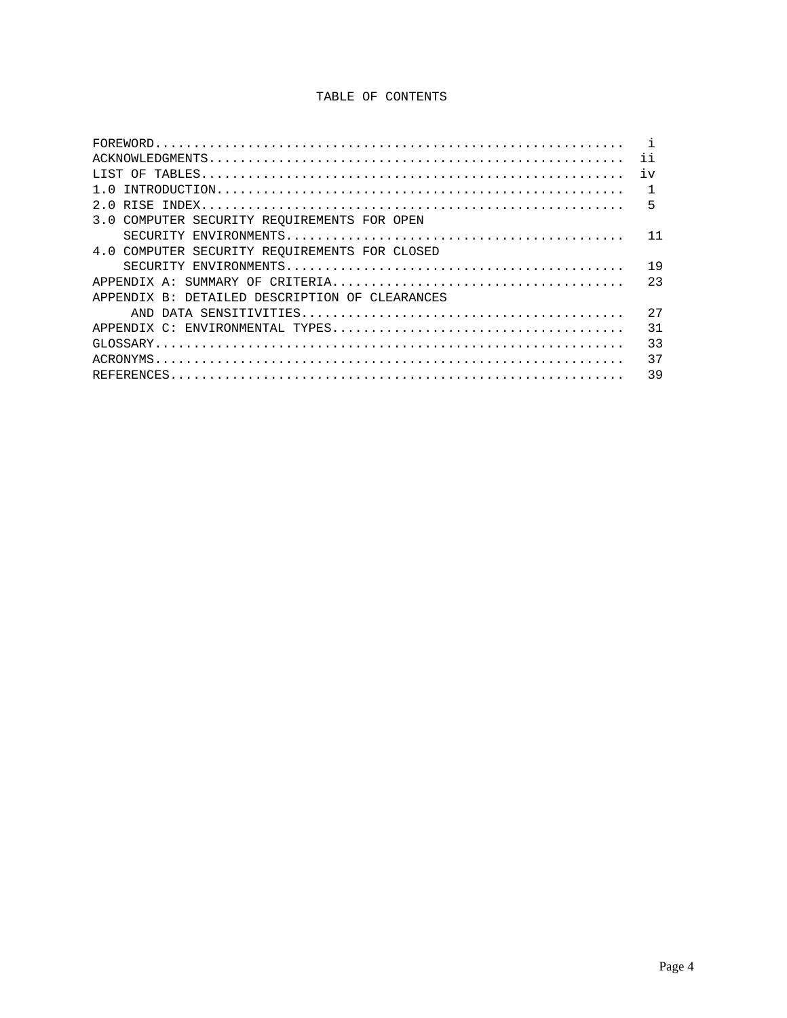# TABLE OF CONTENTS

|                                                | ii  |
|------------------------------------------------|-----|
|                                                | iv  |
| 1 O                                            |     |
| 2.0                                            | 5   |
| 3.0 COMPUTER SECURITY REOUIREMENTS FOR OPEN    |     |
|                                                | 11  |
| 4.0 COMPUTER SECURITY REOUIREMENTS FOR CLOSED  |     |
|                                                | 19  |
|                                                | 23  |
| APPENDIX B: DETAILED DESCRIPTION OF CLEARANCES |     |
|                                                | 2.7 |
|                                                | 31  |
|                                                | 33  |
|                                                | 37  |
|                                                | 39  |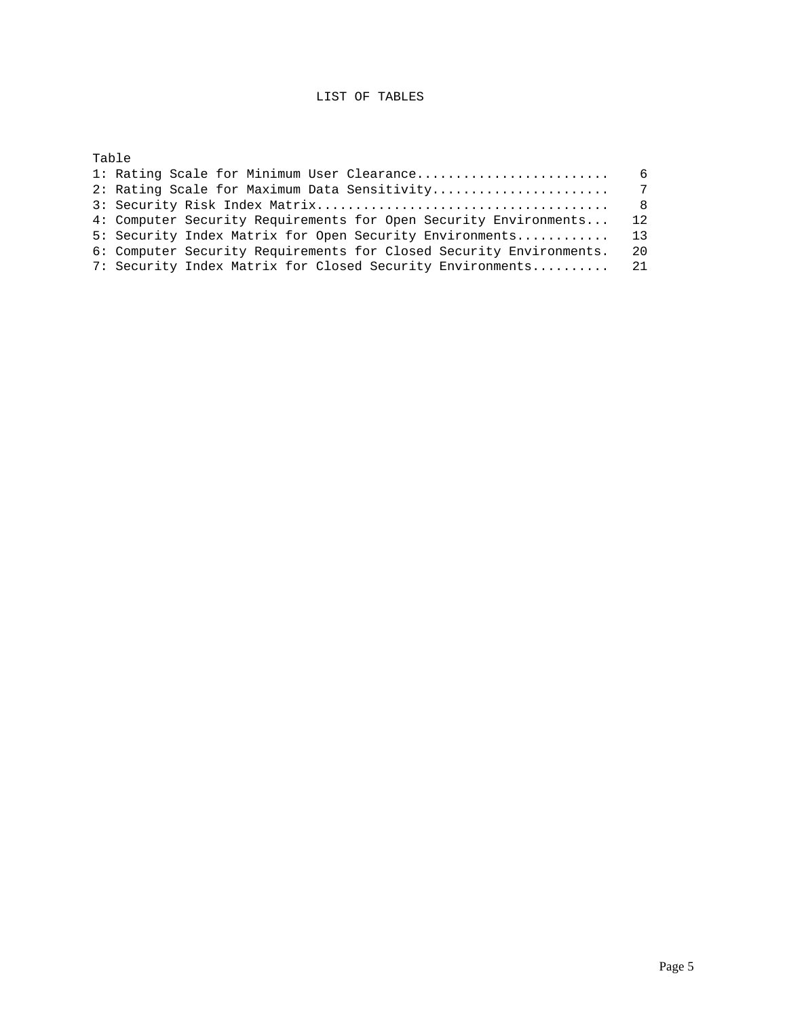# LIST OF TABLES

| Table                                                               |                |
|---------------------------------------------------------------------|----------------|
| 1: Rating Scale for Minimum User Clearance                          | - 6            |
| 2: Rating Scale for Maximum Data Sensitivity                        | $\overline{7}$ |
|                                                                     | -8             |
| 4: Computer Security Requirements for Open Security Environments    | 12             |
| 5: Security Index Matrix for Open Security Environments             | 13             |
| 6: Computer Security Requirements for Closed Security Environments. | 20             |
| 7: Security Index Matrix for Closed Security Environments 21        |                |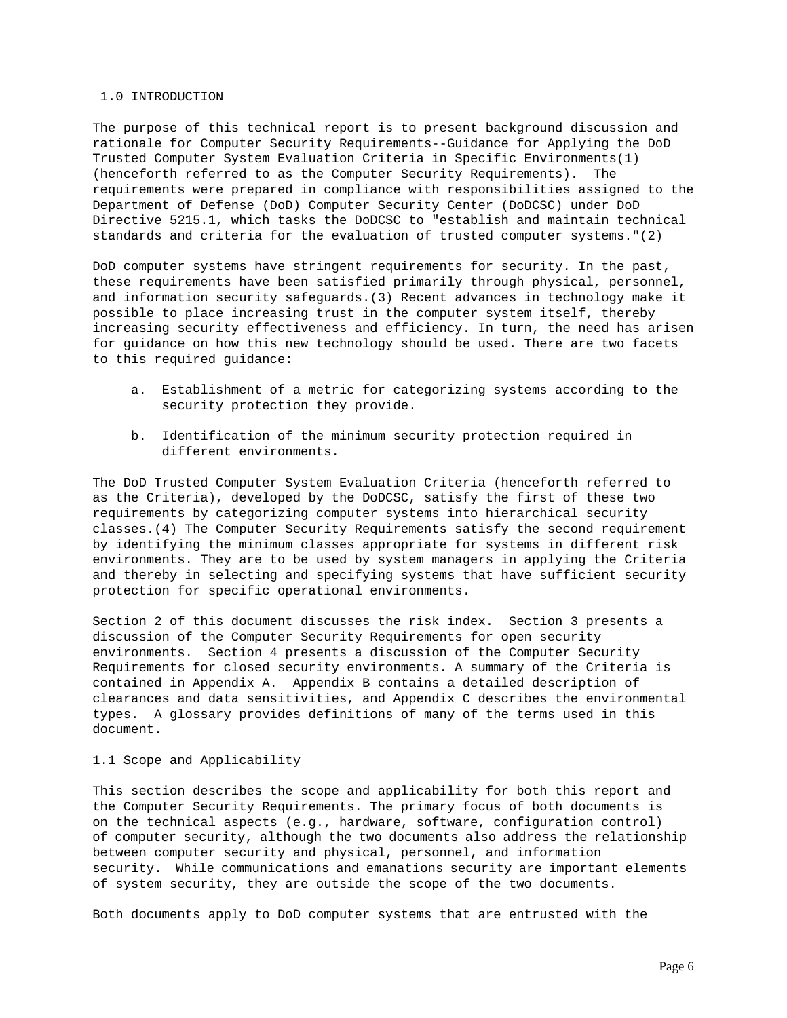## 1.0 INTRODUCTION

The purpose of this technical report is to present background discussion and rationale for Computer Security Requirements--Guidance for Applying the DoD Trusted Computer System Evaluation Criteria in Specific Environments(1) (henceforth referred to as the Computer Security Requirements). The requirements were prepared in compliance with responsibilities assigned to the Department of Defense (DoD) Computer Security Center (DoDCSC) under DoD Directive 5215.1, which tasks the DoDCSC to "establish and maintain technical standards and criteria for the evaluation of trusted computer systems."(2)

DoD computer systems have stringent requirements for security. In the past, these requirements have been satisfied primarily through physical, personnel, and information security safeguards.(3) Recent advances in technology make it possible to place increasing trust in the computer system itself, thereby increasing security effectiveness and efficiency. In turn, the need has arisen for guidance on how this new technology should be used. There are two facets to this required guidance:

- a. Establishment of a metric for categorizing systems according to the security protection they provide.
- b. Identification of the minimum security protection required in different environments.

The DoD Trusted Computer System Evaluation Criteria (henceforth referred to as the Criteria), developed by the DoDCSC, satisfy the first of these two requirements by categorizing computer systems into hierarchical security classes.(4) The Computer Security Requirements satisfy the second requirement by identifying the minimum classes appropriate for systems in different risk environments. They are to be used by system managers in applying the Criteria and thereby in selecting and specifying systems that have sufficient security protection for specific operational environments.

Section 2 of this document discusses the risk index. Section 3 presents a discussion of the Computer Security Requirements for open security environments. Section 4 presents a discussion of the Computer Security Requirements for closed security environments. A summary of the Criteria is contained in Appendix A. Appendix B contains a detailed description of clearances and data sensitivities, and Appendix C describes the environmental types. A glossary provides definitions of many of the terms used in this document.

## 1.1 Scope and Applicability

This section describes the scope and applicability for both this report and the Computer Security Requirements. The primary focus of both documents is on the technical aspects (e.g., hardware, software, configuration control) of computer security, although the two documents also address the relationship between computer security and physical, personnel, and information security. While communications and emanations security are important elements of system security, they are outside the scope of the two documents.

Both documents apply to DoD computer systems that are entrusted with the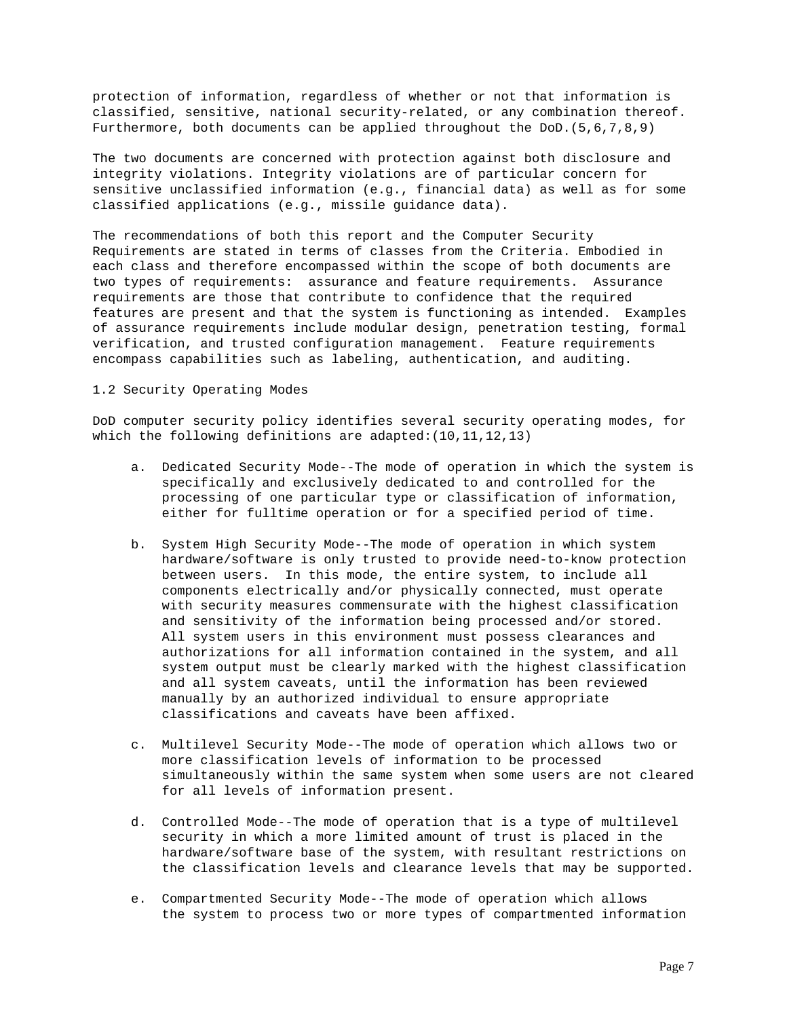protection of information, regardless of whether or not that information is classified, sensitive, national security-related, or any combination thereof. Furthermore, both documents can be applied throughout the DoD.(5,6,7,8,9)

The two documents are concerned with protection against both disclosure and integrity violations. Integrity violations are of particular concern for sensitive unclassified information (e.g., financial data) as well as for some classified applications (e.g., missile guidance data).

The recommendations of both this report and the Computer Security Requirements are stated in terms of classes from the Criteria. Embodied in each class and therefore encompassed within the scope of both documents are two types of requirements: assurance and feature requirements. Assurance requirements are those that contribute to confidence that the required features are present and that the system is functioning as intended. Examples of assurance requirements include modular design, penetration testing, formal verification, and trusted configuration management. Feature requirements encompass capabilities such as labeling, authentication, and auditing.

# 1.2 Security Operating Modes

DoD computer security policy identifies several security operating modes, for which the following definitions are adapted:(10,11,12,13)

- a. Dedicated Security Mode--The mode of operation in which the system is specifically and exclusively dedicated to and controlled for the processing of one particular type or classification of information, either for fulltime operation or for a specified period of time.
- b. System High Security Mode--The mode of operation in which system hardware/software is only trusted to provide need-to-know protection between users. In this mode, the entire system, to include all components electrically and/or physically connected, must operate with security measures commensurate with the highest classification and sensitivity of the information being processed and/or stored. All system users in this environment must possess clearances and authorizations for all information contained in the system, and all system output must be clearly marked with the highest classification and all system caveats, until the information has been reviewed manually by an authorized individual to ensure appropriate classifications and caveats have been affixed.
- c. Multilevel Security Mode--The mode of operation which allows two or more classification levels of information to be processed simultaneously within the same system when some users are not cleared for all levels of information present.
- d. Controlled Mode--The mode of operation that is a type of multilevel security in which a more limited amount of trust is placed in the hardware/software base of the system, with resultant restrictions on the classification levels and clearance levels that may be supported.
- e. Compartmented Security Mode--The mode of operation which allows the system to process two or more types of compartmented information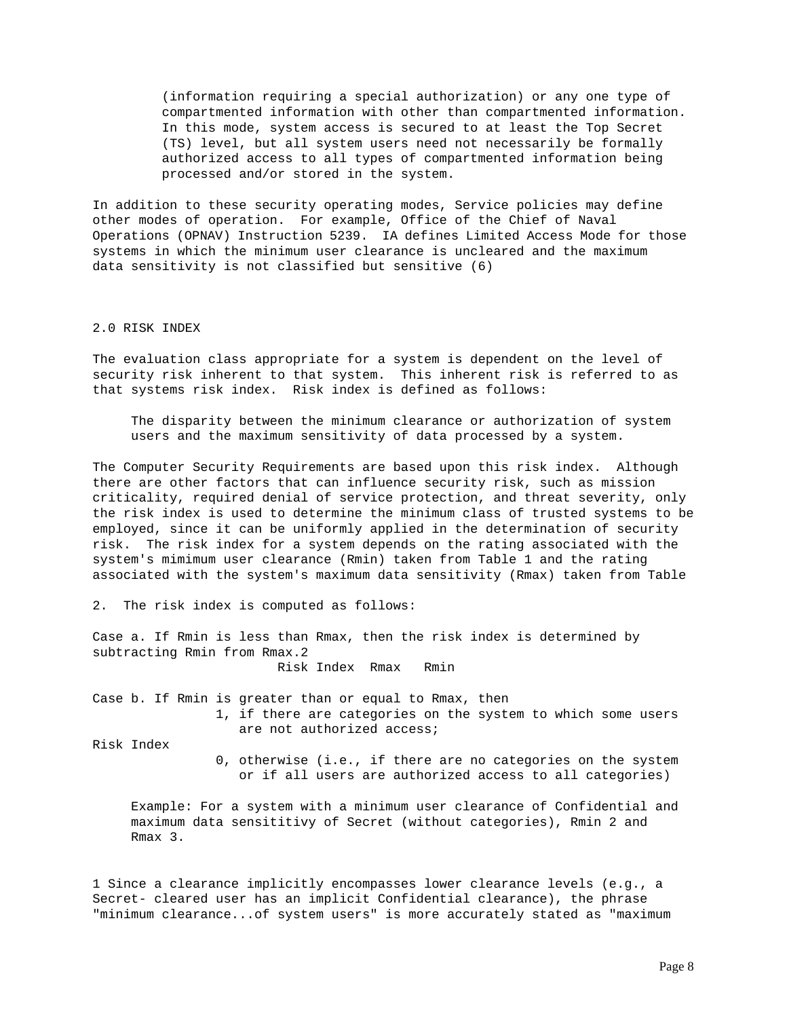(information requiring a special authorization) or any one type of compartmented information with other than compartmented information. In this mode, system access is secured to at least the Top Secret (TS) level, but all system users need not necessarily be formally authorized access to all types of compartmented information being processed and/or stored in the system.

In addition to these security operating modes, Service policies may define other modes of operation. For example, Office of the Chief of Naval Operations (OPNAV) Instruction 5239. IA defines Limited Access Mode for those systems in which the minimum user clearance is uncleared and the maximum data sensitivity is not classified but sensitive (6)

### 2.0 RISK INDEX

The evaluation class appropriate for a system is dependent on the level of security risk inherent to that system. This inherent risk is referred to as that systems risk index. Risk index is defined as follows:

 The disparity between the minimum clearance or authorization of system users and the maximum sensitivity of data processed by a system.

The Computer Security Requirements are based upon this risk index. Although there are other factors that can influence security risk, such as mission criticality, required denial of service protection, and threat severity, only the risk index is used to determine the minimum class of trusted systems to be employed, since it can be uniformly applied in the determination of security risk. The risk index for a system depends on the rating associated with the system's mimimum user clearance (Rmin) taken from Table 1 and the rating associated with the system's maximum data sensitivity (Rmax) taken from Table

2. The risk index is computed as follows:

Case a. If Rmin is less than Rmax, then the risk index is determined by subtracting Rmin from Rmax.2

Risk Index Rmax Rmin

Case b. If Rmin is greater than or equal to Rmax, then 1, if there are categories on the system to which some users are not authorized access;

Risk Index

 0, otherwise (i.e., if there are no categories on the system or if all users are authorized access to all categories)

 Example: For a system with a minimum user clearance of Confidential and maximum data sensititivy of Secret (without categories), Rmin 2 and Rmax 3.

1 Since a clearance implicitly encompasses lower clearance levels (e.g., a Secret- cleared user has an implicit Confidential clearance), the phrase "minimum clearance...of system users" is more accurately stated as "maximum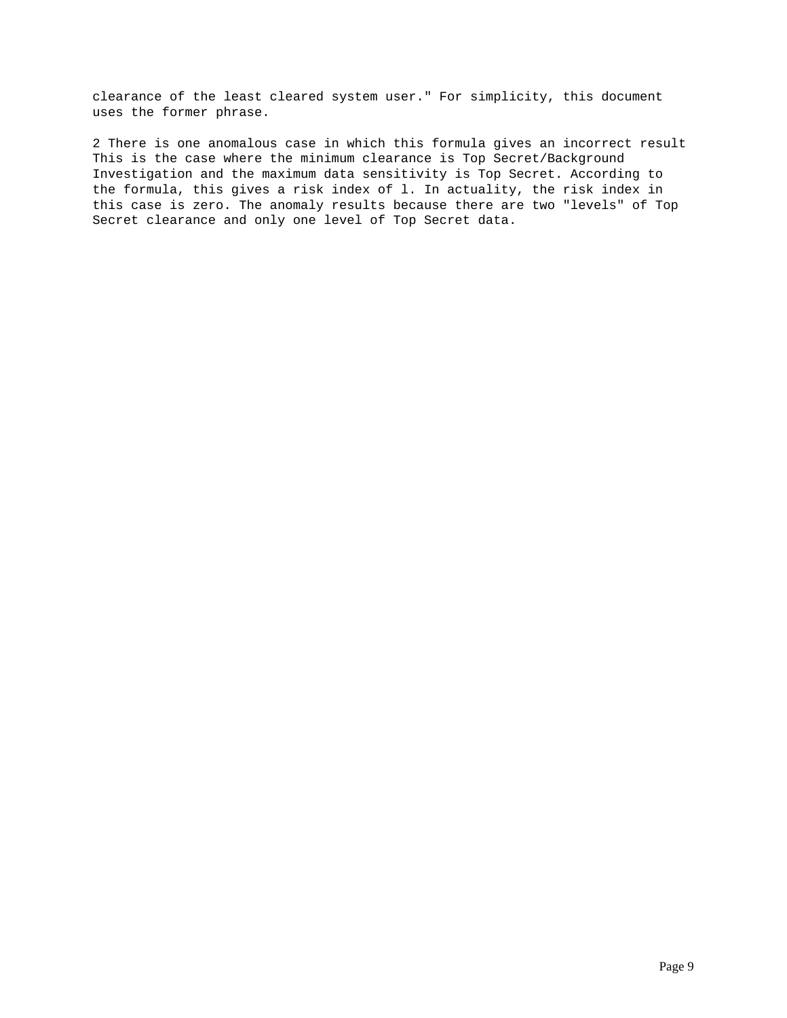clearance of the least cleared system user." For simplicity, this document uses the former phrase.

2 There is one anomalous case in which this formula gives an incorrect result This is the case where the minimum clearance is Top Secret/Background Investigation and the maximum data sensitivity is Top Secret. According to the formula, this gives a risk index of l. In actuality, the risk index in this case is zero. The anomaly results because there are two "levels" of Top Secret clearance and only one level of Top Secret data.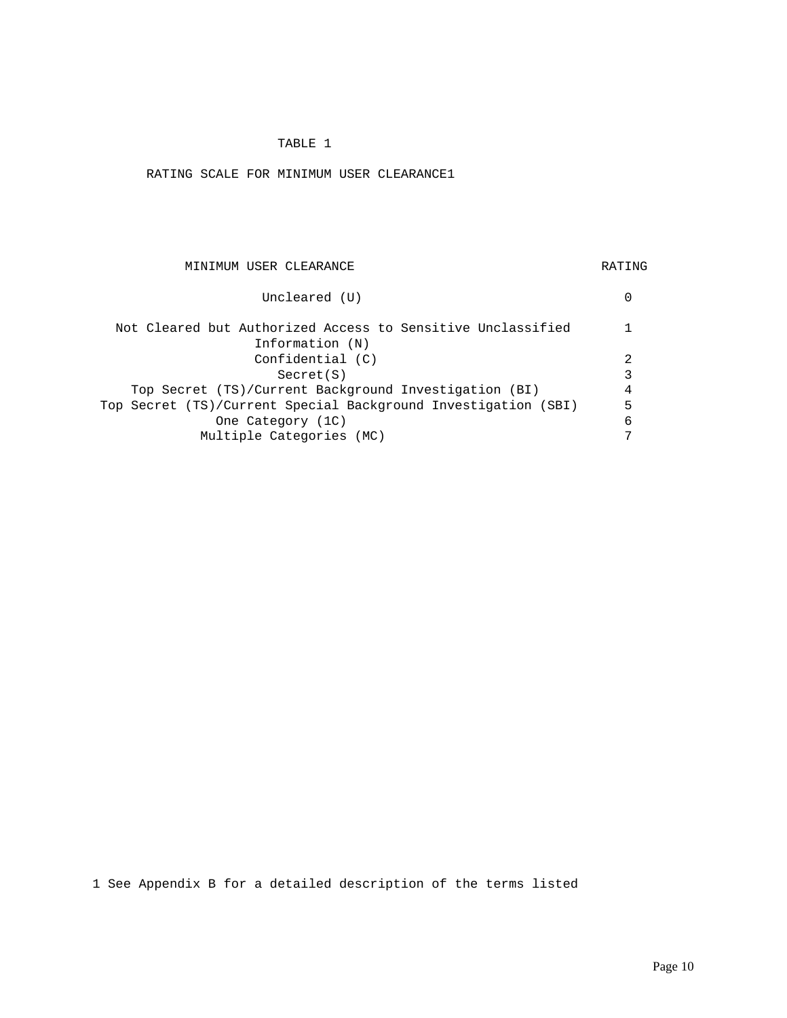# TABLE 1

# RATING SCALE FOR MINIMUM USER CLEARANCE1

| MINIMUM USER CLEARANCE                                                         | RATING |
|--------------------------------------------------------------------------------|--------|
| Uncleared (U)                                                                  |        |
| Not Cleared but Authorized Access to Sensitive Unclassified<br>Information (N) |        |
| Confidential (C)                                                               | 2      |
| Secret(S)                                                                      | 3      |
| Top Secret (TS)/Current Background Investigation (BI)                          |        |
| Top Secret (TS)/Current Special Background Investigation (SBI)                 | 5      |
| One Category (1C)                                                              | 6      |
| Multiple Categories (MC)                                                       |        |

1 See Appendix B for a detailed description of the terms listed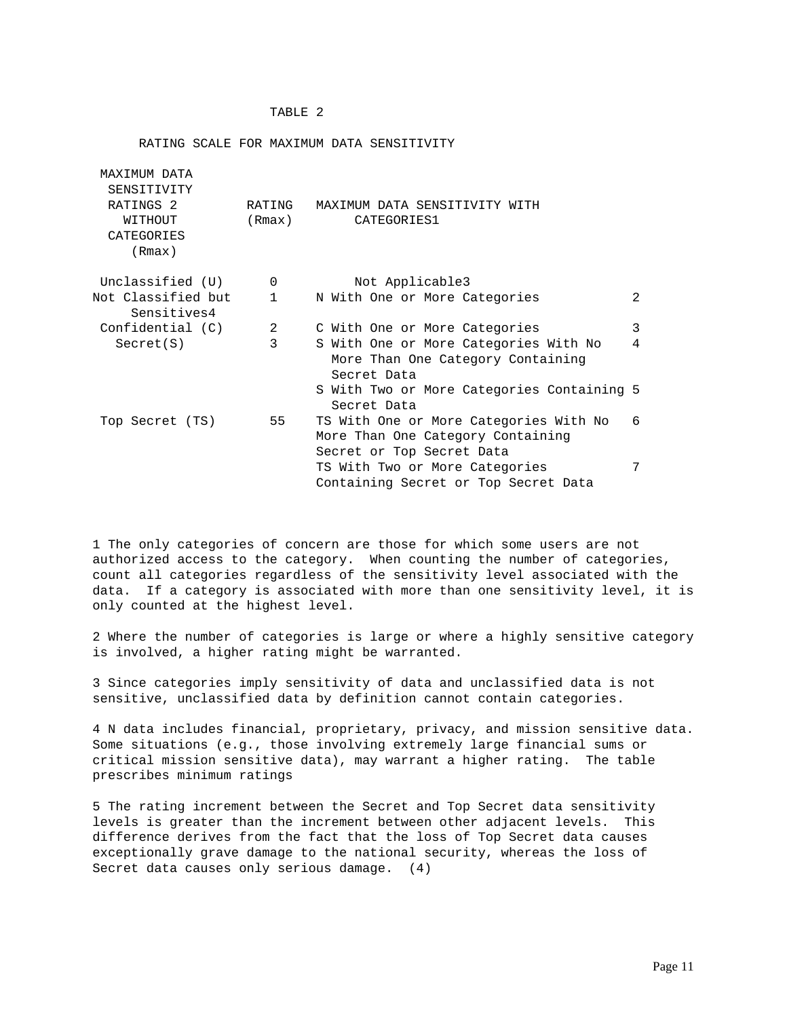# TABLE 2

### RATING SCALE FOR MAXIMUM DATA SENSITIVITY

| MAXIMUM DATA<br>SENSITIVITY                  |                        |                                                                                                          |                |
|----------------------------------------------|------------------------|----------------------------------------------------------------------------------------------------------|----------------|
| RATINGS 2<br>WITHOUT<br>CATEGORIES<br>(Rmax) | RATING<br>(Rmax)       | MAXIMUM DATA SENSITIVITY WITH<br>CATEGORIES1                                                             |                |
| Unclassified (U)                             | $\Omega$               | Not Applicable3                                                                                          |                |
| Not Classified but<br>Sensitives4            | $1 \quad \blacksquare$ | N With One or More Categories                                                                            | $\mathfrak{D}$ |
| Confidential (C)                             | $\mathbf{2}$           | C With One or More Categories                                                                            | 3              |
| Secret(S)                                    | 3                      | S With One or More Categories With No<br>More Than One Category Containing<br>Secret Data                | 4              |
|                                              |                        | S With Two or More Categories Containing 5<br>Secret Data                                                |                |
| Top Secret (TS)                              | 55                     | TS With One or More Categories With No<br>More Than One Category Containing<br>Secret or Top Secret Data | 6              |
|                                              |                        | TS With Two or More Categories                                                                           | 7              |
|                                              |                        | Containing Secret or Top Secret Data                                                                     |                |

1 The only categories of concern are those for which some users are not authorized access to the category. When counting the number of categories, count all categories regardless of the sensitivity level associated with the data. If a category is associated with more than one sensitivity level, it is only counted at the highest level.

2 Where the number of categories is large or where a highly sensitive category is involved, a higher rating might be warranted.

3 Since categories imply sensitivity of data and unclassified data is not sensitive, unclassified data by definition cannot contain categories.

4 N data includes financial, proprietary, privacy, and mission sensitive data. Some situations (e.g., those involving extremely large financial sums or critical mission sensitive data), may warrant a higher rating. The table prescribes minimum ratings

5 The rating increment between the Secret and Top Secret data sensitivity levels is greater than the increment between other adjacent levels. This difference derives from the fact that the loss of Top Secret data causes exceptionally grave damage to the national security, whereas the loss of Secret data causes only serious damage. (4)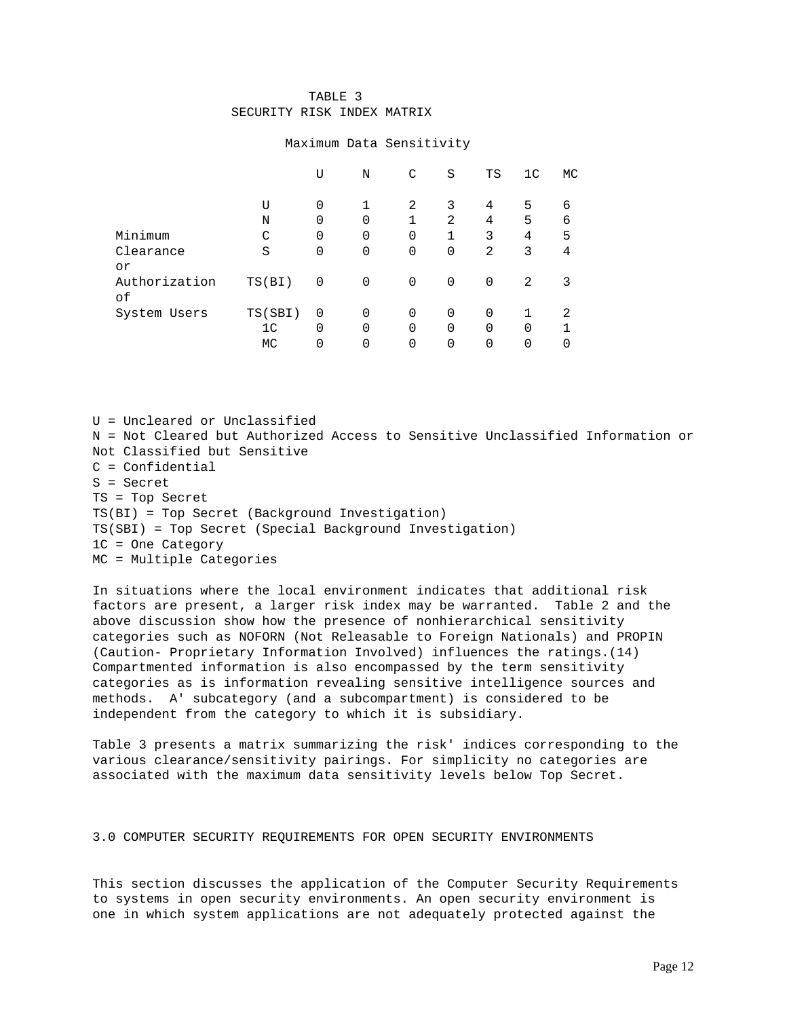# TABLE 3 SECURITY RISK INDEX MATRIX

|                     |                | U        | N        | C              | S        | TS       | 1 <sup>C</sup> | МC |
|---------------------|----------------|----------|----------|----------------|----------|----------|----------------|----|
|                     | U              | $\Omega$ | 1        | $\overline{2}$ | 3        | 4        | 5              | 6  |
|                     | N              | 0        | 0        | 1              | 2        | 4        | 5              | 6  |
| Minimum             | C              | 0        | 0        | 0              | 1        | 3        | 4              | 5  |
| Clearance<br>or     | S              | 0        | 0        | 0              | $\Omega$ | 2        | 3              | 4  |
| Authorization<br>of | TS(BI)         | 0        | $\Omega$ | $\Omega$       | $\Omega$ | $\Omega$ | 2              | 3  |
| System Users        | TS(SBI)        | 0        | 0        | 0              | $\Omega$ | $\Omega$ | 1              | 2  |
|                     | 1 <sup>C</sup> | $\Omega$ | 0        | 0              | $\Omega$ | 0        | 0              |    |
|                     | MC             | 0        | 0        | 0              | 0        | 0        | 0              |    |

#### Maximum Data Sensitivity

U = Uncleared or Unclassified N = Not Cleared but Authorized Access to Sensitive Unclassified Information or Not Classified but Sensitive C = Confidential S = Secret TS = Top Secret TS(BI) = Top Secret (Background Investigation) TS(SBI) = Top Secret (Special Background Investigation) 1C = One Category MC = Multiple Categories

In situations where the local environment indicates that additional risk factors are present, a larger risk index may be warranted. Table 2 and the above discussion show how the presence of nonhierarchical sensitivity categories such as NOFORN (Not Releasable to Foreign Nationals) and PROPIN (Caution- Proprietary Information Involved) influences the ratings.(14) Compartmented information is also encompassed by the term sensitivity categories as is information revealing sensitive intelligence sources and methods. A' subcategory (and a subcompartment) is considered to be independent from the category to which it is subsidiary.

Table 3 presents a matrix summarizing the risk' indices corresponding to the various clearance/sensitivity pairings. For simplicity no categories are associated with the maximum data sensitivity levels below Top Secret.

### 3.0 COMPUTER SECURITY REQUIREMENTS FOR OPEN SECURITY ENVIRONMENTS

This section discusses the application of the Computer Security Requirements to systems in open security environments. An open security environment is one in which system applications are not adequately protected against the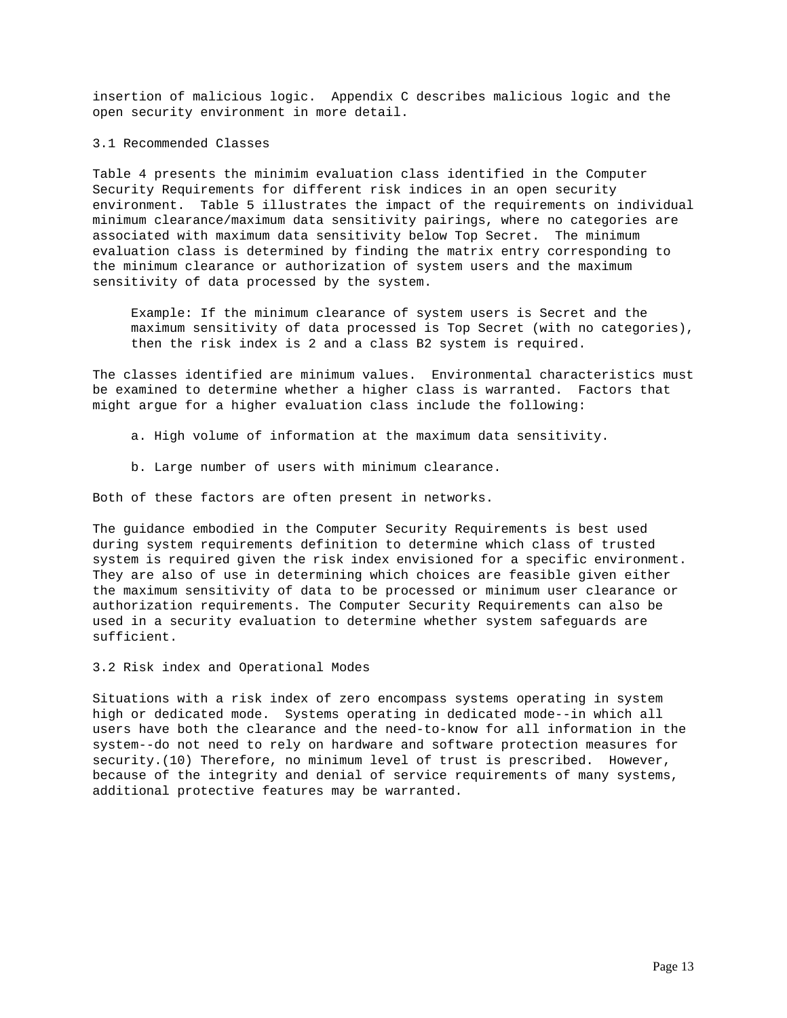insertion of malicious logic. Appendix C describes malicious logic and the open security environment in more detail.

3.1 Recommended Classes

Table 4 presents the minimim evaluation class identified in the Computer Security Requirements for different risk indices in an open security environment. Table 5 illustrates the impact of the requirements on individual minimum clearance/maximum data sensitivity pairings, where no categories are associated with maximum data sensitivity below Top Secret. The minimum evaluation class is determined by finding the matrix entry corresponding to the minimum clearance or authorization of system users and the maximum sensitivity of data processed by the system.

 Example: If the minimum clearance of system users is Secret and the maximum sensitivity of data processed is Top Secret (with no categories), then the risk index is 2 and a class B2 system is required.

The classes identified are minimum values. Environmental characteristics must be examined to determine whether a higher class is warranted. Factors that might argue for a higher evaluation class include the following:

- a. High volume of information at the maximum data sensitivity.
- b. Large number of users with minimum clearance.

Both of these factors are often present in networks.

The guidance embodied in the Computer Security Requirements is best used during system requirements definition to determine which class of trusted system is required given the risk index envisioned for a specific environment. They are also of use in determining which choices are feasible given either the maximum sensitivity of data to be processed or minimum user clearance or authorization requirements. The Computer Security Requirements can also be used in a security evaluation to determine whether system safeguards are sufficient.

3.2 Risk index and Operational Modes

Situations with a risk index of zero encompass systems operating in system high or dedicated mode. Systems operating in dedicated mode--in which all users have both the clearance and the need-to-know for all information in the system--do not need to rely on hardware and software protection measures for security.(10) Therefore, no minimum level of trust is prescribed. However, because of the integrity and denial of service requirements of many systems, additional protective features may be warranted.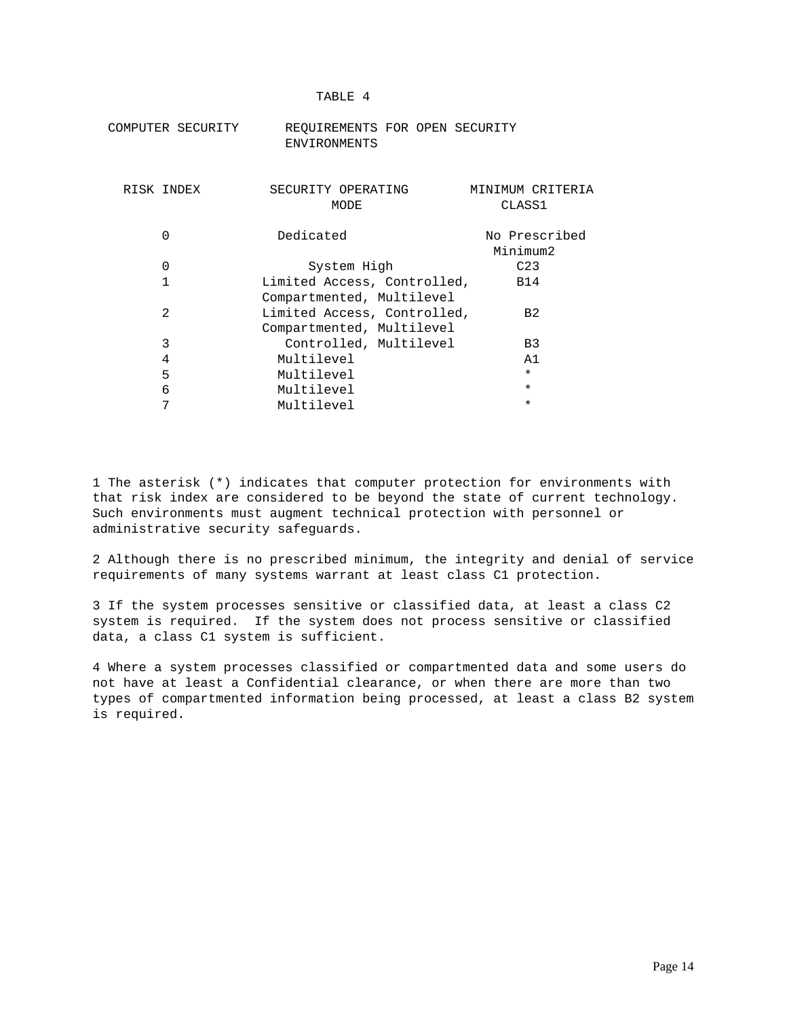| COMPUTER SECURITY | REQUIREMENTS FOR OPEN SECURITY<br>ENVIRONMENTS           |                            |
|-------------------|----------------------------------------------------------|----------------------------|
| RISK INDEX        | SECURITY OPERATING<br>MODE                               | MINIMUM CRITERIA<br>CLASS1 |
| $\Omega$          | Dedicated                                                | No Prescribed<br>Minimum2  |
| $\Omega$          | System High                                              | C <sub>23</sub>            |
| $\mathbf{1}$      | Limited Access, Controlled,<br>Compartmented, Multilevel | <b>B14</b>                 |
| 2                 | Limited Access, Controlled,<br>Compartmented, Multilevel | B <sub>2</sub>             |
| 3                 | Controlled, Multilevel                                   | B <sub>3</sub>             |
| 4                 | Multilevel                                               | A1                         |
| 5                 | Multilevel                                               | $\star$                    |
| 6                 | Multilevel                                               | $\star$                    |
| 7                 | Multilevel                                               | $\star$                    |

1 The asterisk (\*) indicates that computer protection for environments with that risk index are considered to be beyond the state of current technology. Such environments must augment technical protection with personnel or administrative security safeguards.

2 Although there is no prescribed minimum, the integrity and denial of service requirements of many systems warrant at least class C1 protection.

3 If the system processes sensitive or classified data, at least a class C2 system is required. If the system does not process sensitive or classified data, a class C1 system is sufficient.

4 Where a system processes classified or compartmented data and some users do not have at least a Confidential clearance, or when there are more than two types of compartmented information being processed, at least a class B2 system is required.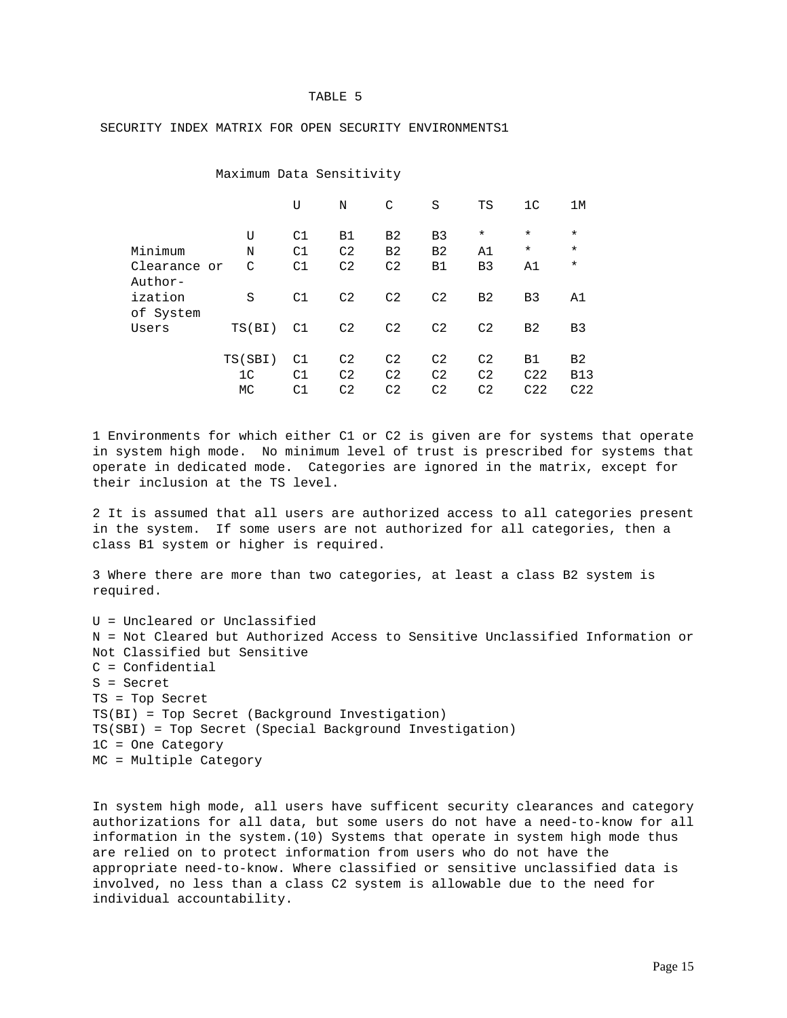### TABLE 5

## SECURITY INDEX MATRIX FOR OPEN SECURITY ENVIRONMENTS1

# Maximum Data Sensitivity

|                         |                | U  | N              | C              | S              | TS             | 1 <sup>C</sup>  | 1M             |
|-------------------------|----------------|----|----------------|----------------|----------------|----------------|-----------------|----------------|
|                         | U              | C1 | B1             | B <sub>2</sub> | B <sub>3</sub> | $\star$        | $\star$         | $\star$        |
| Minimum                 | N              | C1 | C <sub>2</sub> | B <sub>2</sub> | B <sub>2</sub> | A1             | $\star$         | $\star$        |
| Clearance or<br>Author- | $\mathcal{C}$  | C1 | C <sub>2</sub> | C <sub>2</sub> | <b>B1</b>      | B <sub>3</sub> | A1              | $\star$        |
| ization<br>of System    | S              | C1 | C <sub>2</sub> | C <sub>2</sub> | C <sub>2</sub> | B <sub>2</sub> | B <sub>3</sub>  | A1             |
| Users                   | TS(BI)         | C1 | C <sub>2</sub> | C <sub>2</sub> | C <sub>2</sub> | C <sub>2</sub> | B <sub>2</sub>  | B <sub>3</sub> |
|                         | TS(SBI)        | C1 | C <sub>2</sub> | C2             | C <sub>2</sub> | C2             | <b>B1</b>       | B <sub>2</sub> |
|                         | 1 <sup>C</sup> | C1 | C <sub>2</sub> | C <sub>2</sub> | C <sub>2</sub> | C2             | C <sub>22</sub> | <b>B13</b>     |
|                         | MC             | C1 | C <sub>2</sub> | C <sub>2</sub> | C <sub>2</sub> | C <sub>2</sub> | C <sub>22</sub> | C22            |

1 Environments for which either C1 or C2 is given are for systems that operate in system high mode. No minimum level of trust is prescribed for systems that operate in dedicated mode. Categories are ignored in the matrix, except for their inclusion at the TS level.

2 It is assumed that all users are authorized access to all categories present in the system. If some users are not authorized for all categories, then a class B1 system or higher is required.

3 Where there are more than two categories, at least a class B2 system is required.

U = Uncleared or Unclassified N = Not Cleared but Authorized Access to Sensitive Unclassified Information or Not Classified but Sensitive C = Confidential S = Secret TS = Top Secret TS(BI) = Top Secret (Background Investigation) TS(SBI) = Top Secret (Special Background Investigation) 1C = One Category MC = Multiple Category

In system high mode, all users have sufficent security clearances and category authorizations for all data, but some users do not have a need-to-know for all information in the system.(10) Systems that operate in system high mode thus are relied on to protect information from users who do not have the appropriate need-to-know. Where classified or sensitive unclassified data is involved, no less than a class C2 system is allowable due to the need for individual accountability.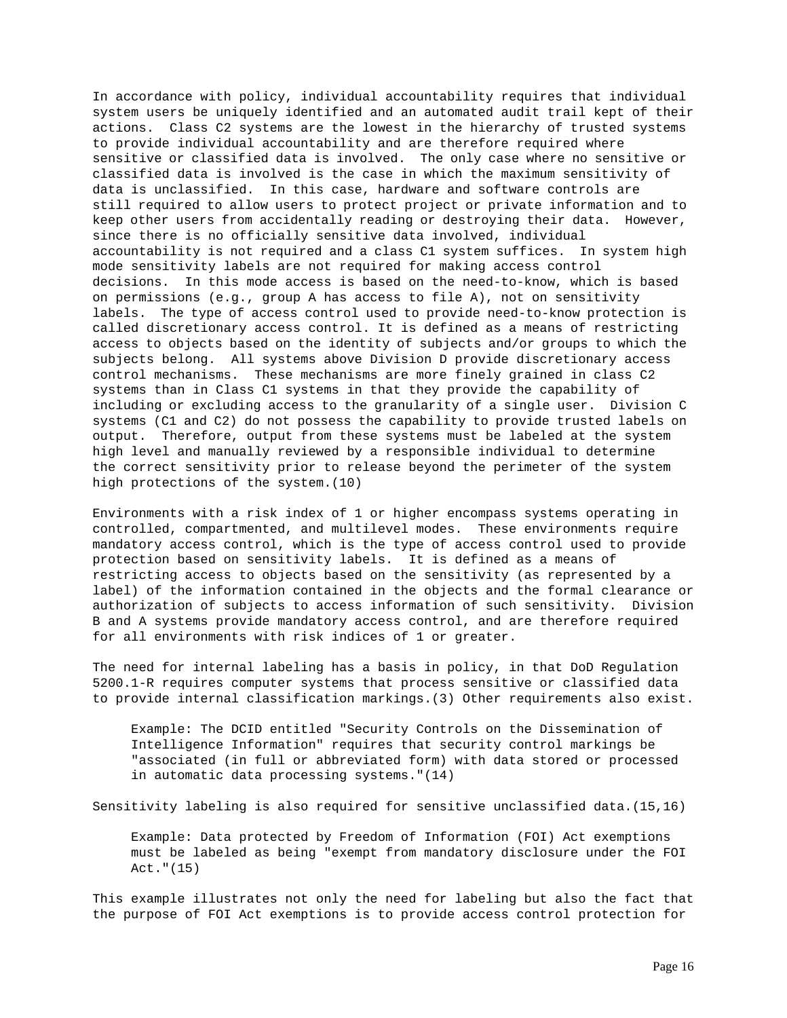In accordance with policy, individual accountability requires that individual system users be uniquely identified and an automated audit trail kept of their actions. Class C2 systems are the lowest in the hierarchy of trusted systems to provide individual accountability and are therefore required where sensitive or classified data is involved. The only case where no sensitive or classified data is involved is the case in which the maximum sensitivity of data is unclassified. In this case, hardware and software controls are still required to allow users to protect project or private information and to keep other users from accidentally reading or destroying their data. However, since there is no officially sensitive data involved, individual accountability is not required and a class C1 system suffices. In system high mode sensitivity labels are not required for making access control decisions. In this mode access is based on the need-to-know, which is based on permissions (e.g., group A has access to file A), not on sensitivity labels. The type of access control used to provide need-to-know protection is called discretionary access control. It is defined as a means of restricting access to objects based on the identity of subjects and/or groups to which the subjects belong. All systems above Division D provide discretionary access control mechanisms. These mechanisms are more finely grained in class C2 systems than in Class C1 systems in that they provide the capability of including or excluding access to the granularity of a single user. Division C systems (C1 and C2) do not possess the capability to provide trusted labels on output. Therefore, output from these systems must be labeled at the system high level and manually reviewed by a responsible individual to determine the correct sensitivity prior to release beyond the perimeter of the system high protections of the system.(10)

Environments with a risk index of 1 or higher encompass systems operating in controlled, compartmented, and multilevel modes. These environments require mandatory access control, which is the type of access control used to provide protection based on sensitivity labels. It is defined as a means of restricting access to objects based on the sensitivity (as represented by a label) of the information contained in the objects and the formal clearance or authorization of subjects to access information of such sensitivity. Division B and A systems provide mandatory access control, and are therefore required for all environments with risk indices of 1 or greater.

The need for internal labeling has a basis in policy, in that DoD Regulation 5200.1-R requires computer systems that process sensitive or classified data to provide internal classification markings.(3) Other requirements also exist.

 Example: The DCID entitled "Security Controls on the Dissemination of Intelligence Information" requires that security control markings be "associated (in full or abbreviated form) with data stored or processed in automatic data processing systems."(14)

Sensitivity labeling is also required for sensitive unclassified data.(15,16)

 Example: Data protected by Freedom of Information (FOI) Act exemptions must be labeled as being "exempt from mandatory disclosure under the FOI Act."(15)

This example illustrates not only the need for labeling but also the fact that the purpose of FOI Act exemptions is to provide access control protection for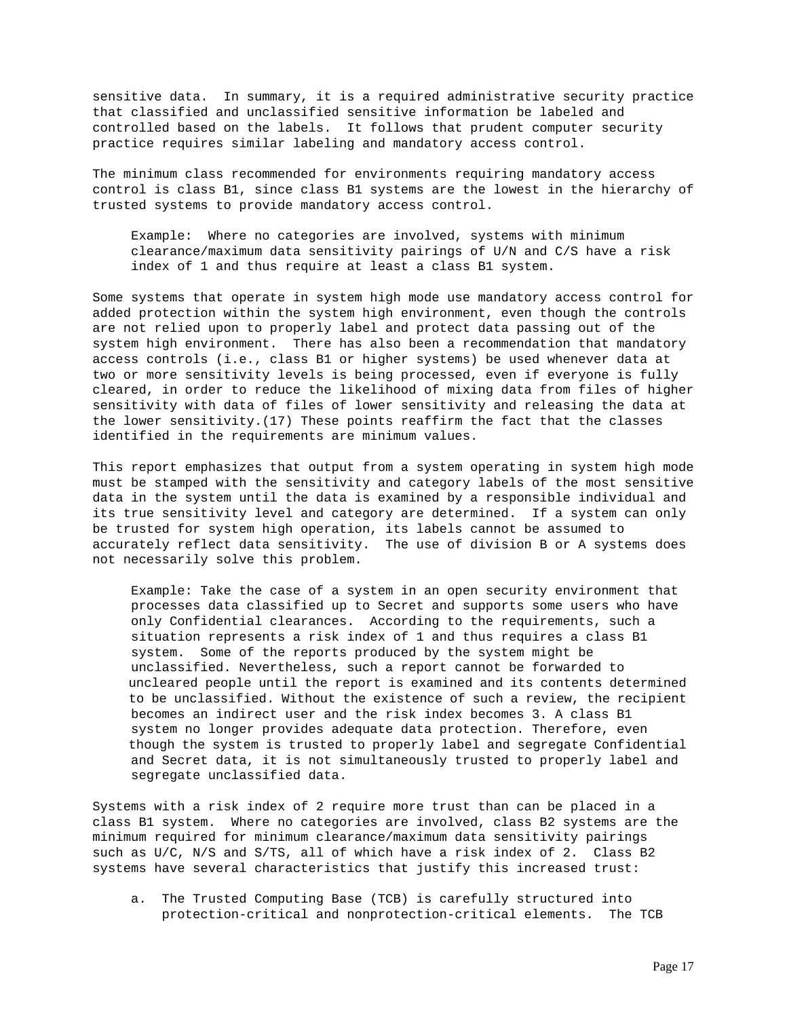sensitive data. In summary, it is a required administrative security practice that classified and unclassified sensitive information be labeled and controlled based on the labels. It follows that prudent computer security practice requires similar labeling and mandatory access control.

The minimum class recommended for environments requiring mandatory access control is class B1, since class B1 systems are the lowest in the hierarchy of trusted systems to provide mandatory access control.

 Example: Where no categories are involved, systems with minimum clearance/maximum data sensitivity pairings of U/N and C/S have a risk index of 1 and thus require at least a class B1 system.

Some systems that operate in system high mode use mandatory access control for added protection within the system high environment, even though the controls are not relied upon to properly label and protect data passing out of the system high environment. There has also been a recommendation that mandatory access controls (i.e., class B1 or higher systems) be used whenever data at two or more sensitivity levels is being processed, even if everyone is fully cleared, in order to reduce the likelihood of mixing data from files of higher sensitivity with data of files of lower sensitivity and releasing the data at the lower sensitivity.(17) These points reaffirm the fact that the classes identified in the requirements are minimum values.

This report emphasizes that output from a system operating in system high mode must be stamped with the sensitivity and category labels of the most sensitive data in the system until the data is examined by a responsible individual and its true sensitivity level and category are determined. If a system can only be trusted for system high operation, its labels cannot be assumed to accurately reflect data sensitivity. The use of division B or A systems does not necessarily solve this problem.

 Example: Take the case of a system in an open security environment that processes data classified up to Secret and supports some users who have only Confidential clearances. According to the requirements, such a situation represents a risk index of 1 and thus requires a class B1 system. Some of the reports produced by the system might be unclassified. Nevertheless, such a report cannot be forwarded to uncleared people until the report is examined and its contents determined to be unclassified. Without the existence of such a review, the recipient becomes an indirect user and the risk index becomes 3. A class B1 system no longer provides adequate data protection. Therefore, even though the system is trusted to properly label and segregate Confidential and Secret data, it is not simultaneously trusted to properly label and segregate unclassified data.

Systems with a risk index of 2 require more trust than can be placed in a class B1 system. Where no categories are involved, class B2 systems are the minimum required for minimum clearance/maximum data sensitivity pairings such as U/C, N/S and S/TS, all of which have a risk index of 2. Class B2 systems have several characteristics that justify this increased trust:

 a. The Trusted Computing Base (TCB) is carefully structured into protection-critical and nonprotection-critical elements. The TCB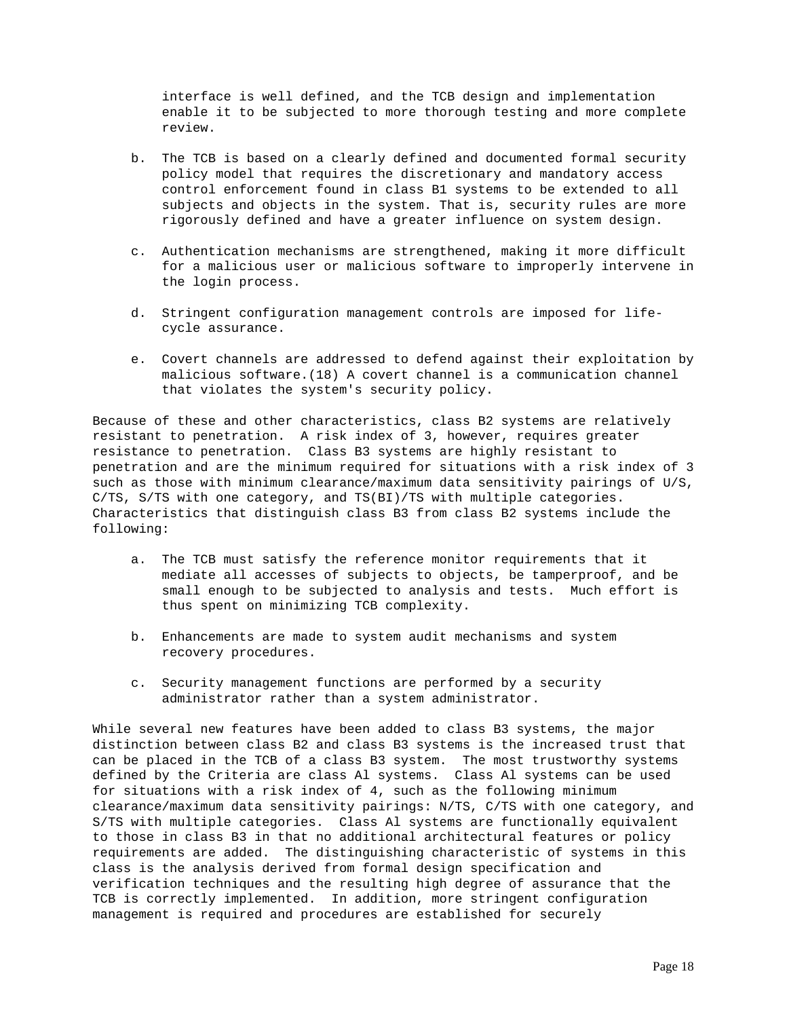interface is well defined, and the TCB design and implementation enable it to be subjected to more thorough testing and more complete review.

- b. The TCB is based on a clearly defined and documented formal security policy model that requires the discretionary and mandatory access control enforcement found in class B1 systems to be extended to all subjects and objects in the system. That is, security rules are more rigorously defined and have a greater influence on system design.
- c. Authentication mechanisms are strengthened, making it more difficult for a malicious user or malicious software to improperly intervene in the login process.
- d. Stringent configuration management controls are imposed for life cycle assurance.
- e. Covert channels are addressed to defend against their exploitation by malicious software.(18) A covert channel is a communication channel that violates the system's security policy.

Because of these and other characteristics, class B2 systems are relatively resistant to penetration. A risk index of 3, however, requires greater resistance to penetration. Class B3 systems are highly resistant to penetration and are the minimum required for situations with a risk index of 3 such as those with minimum clearance/maximum data sensitivity pairings of U/S, C/TS, S/TS with one category, and TS(BI)/TS with multiple categories. Characteristics that distinguish class B3 from class B2 systems include the following:

- a. The TCB must satisfy the reference monitor requirements that it mediate all accesses of subjects to objects, be tamperproof, and be small enough to be subjected to analysis and tests. Much effort is thus spent on minimizing TCB complexity.
- b. Enhancements are made to system audit mechanisms and system recovery procedures.
- c. Security management functions are performed by a security administrator rather than a system administrator.

While several new features have been added to class B3 systems, the major distinction between class B2 and class B3 systems is the increased trust that can be placed in the TCB of a class B3 system. The most trustworthy systems defined by the Criteria are class Al systems. Class Al systems can be used for situations with a risk index of 4, such as the following minimum clearance/maximum data sensitivity pairings: N/TS, C/TS with one category, and S/TS with multiple categories. Class Al systems are functionally equivalent to those in class B3 in that no additional architectural features or policy requirements are added. The distinguishing characteristic of systems in this class is the analysis derived from formal design specification and verification techniques and the resulting high degree of assurance that the TCB is correctly implemented. In addition, more stringent configuration management is required and procedures are established for securely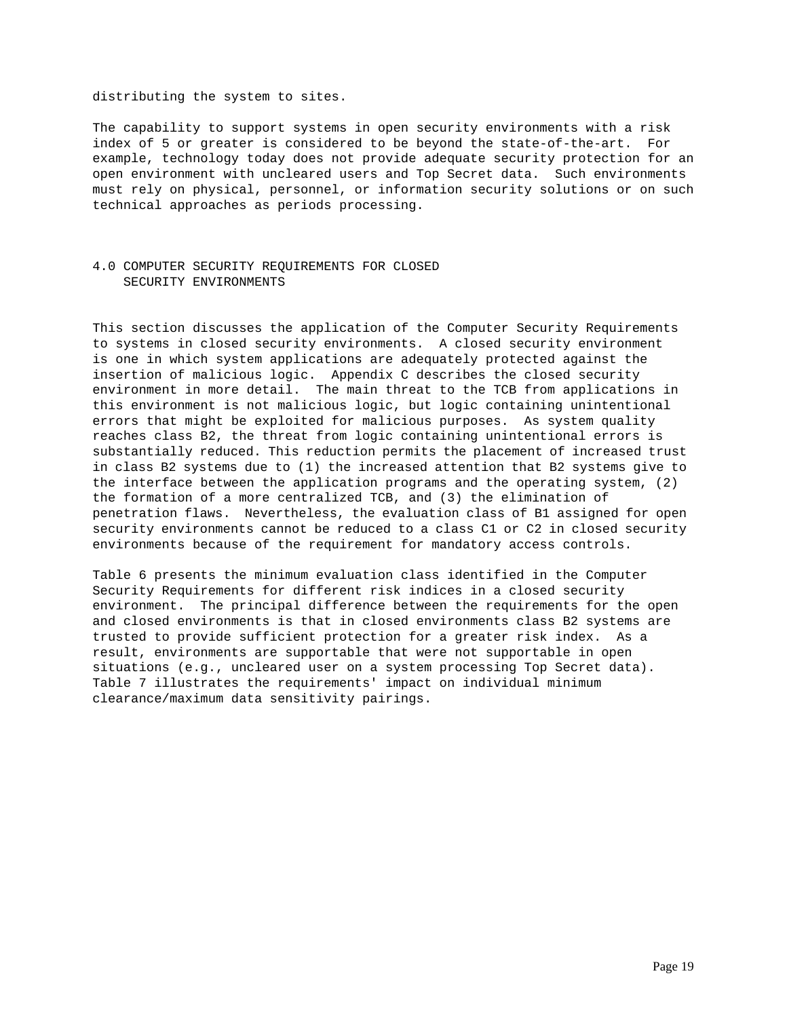distributing the system to sites.

The capability to support systems in open security environments with a risk index of 5 or greater is considered to be beyond the state-of-the-art. For example, technology today does not provide adequate security protection for an open environment with uncleared users and Top Secret data. Such environments must rely on physical, personnel, or information security solutions or on such technical approaches as periods processing.

# 4.0 COMPUTER SECURITY REQUIREMENTS FOR CLOSED SECURITY ENVIRONMENTS

This section discusses the application of the Computer Security Requirements to systems in closed security environments. A closed security environment is one in which system applications are adequately protected against the insertion of malicious logic. Appendix C describes the closed security environment in more detail. The main threat to the TCB from applications in this environment is not malicious logic, but logic containing unintentional errors that might be exploited for malicious purposes. As system quality reaches class B2, the threat from logic containing unintentional errors is substantially reduced. This reduction permits the placement of increased trust in class B2 systems due to (1) the increased attention that B2 systems give to the interface between the application programs and the operating system, (2) the formation of a more centralized TCB, and (3) the elimination of penetration flaws. Nevertheless, the evaluation class of B1 assigned for open security environments cannot be reduced to a class C1 or C2 in closed security environments because of the requirement for mandatory access controls.

Table 6 presents the minimum evaluation class identified in the Computer Security Requirements for different risk indices in a closed security environment. The principal difference between the requirements for the open and closed environments is that in closed environments class B2 systems are trusted to provide sufficient protection for a greater risk index. As a result, environments are supportable that were not supportable in open situations (e.g., uncleared user on a system processing Top Secret data). Table 7 illustrates the requirements' impact on individual minimum clearance/maximum data sensitivity pairings.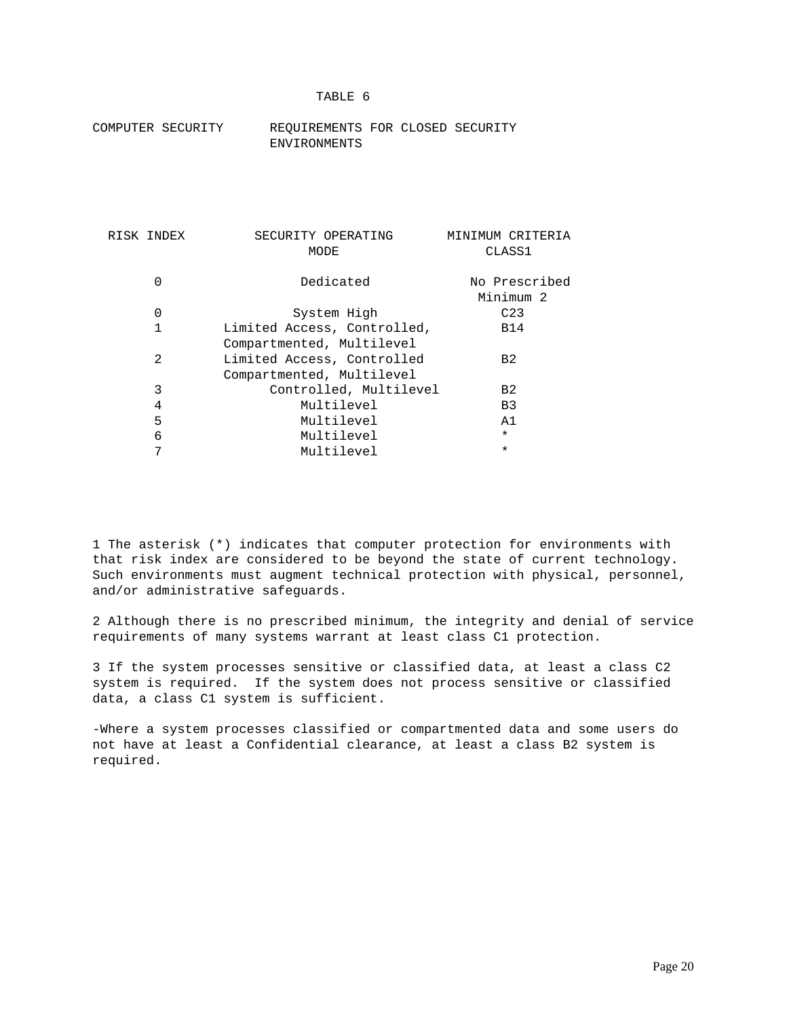#### TABLE 6

COMPUTER SECURITY REQUIREMENTS FOR CLOSED SECURITY ENVIRONMENTS

| RISK INDEX | SECURITY OPERATING          | MINIMUM CRITERIA           |
|------------|-----------------------------|----------------------------|
|            | MODE                        | CLASS1                     |
| O          | Dedicated                   | No Prescribed<br>Minimum 2 |
| 0          | System High                 | C <sub>23</sub>            |
|            | Limited Access, Controlled, | <b>B14</b>                 |
|            | Compartmented, Multilevel   |                            |
| 2          | Limited Access, Controlled  | B <sub>2</sub>             |
|            | Compartmented, Multilevel   |                            |
| 3          | Controlled, Multilevel      | B <sub>2</sub>             |
| 4          | Multilevel                  | B <sub>3</sub>             |
| 5          | Multilevel                  | A1                         |
| 6          | Multilevel                  | $\star$                    |
|            | Multilevel                  | $\star$                    |

1 The asterisk (\*) indicates that computer protection for environments with that risk index are considered to be beyond the state of current technology. Such environments must augment technical protection with physical, personnel, and/or administrative safeguards.

2 Although there is no prescribed minimum, the integrity and denial of service requirements of many systems warrant at least class C1 protection.

3 If the system processes sensitive or classified data, at least a class C2 system is required. If the system does not process sensitive or classified data, a class C1 system is sufficient.

-Where a system processes classified or compartmented data and some users do not have at least a Confidential clearance, at least a class B2 system is required.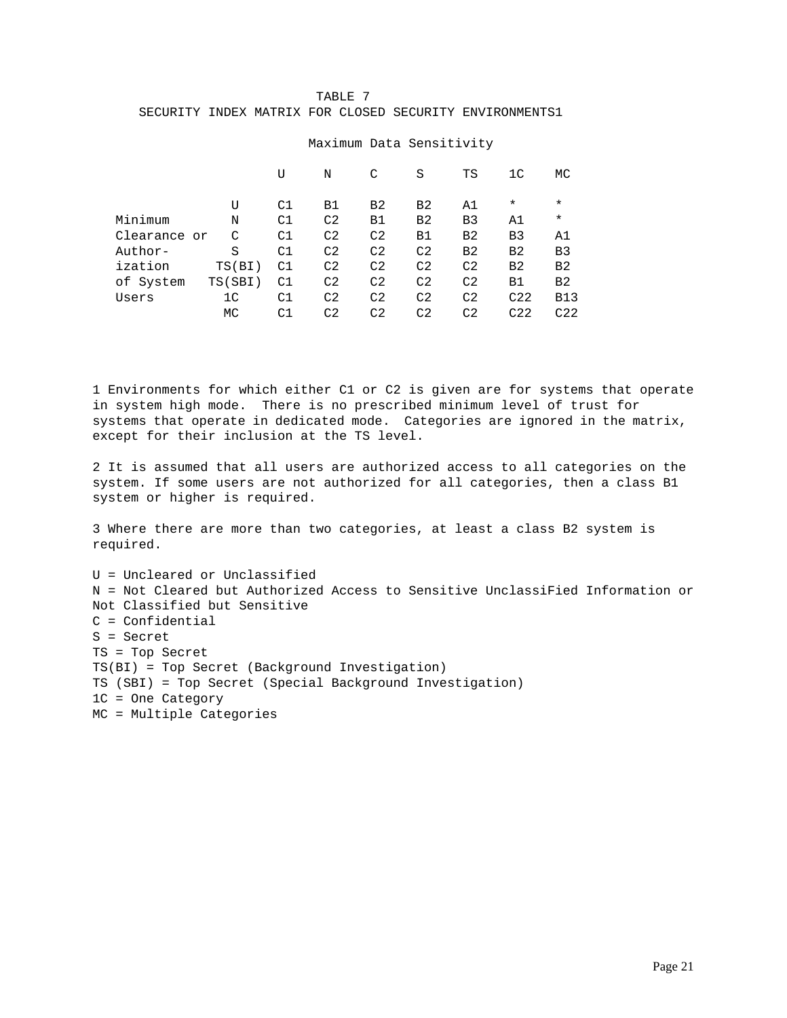|  |  | TARLE. |                                                         |
|--|--|--------|---------------------------------------------------------|
|  |  |        | SECURITY INDEX MATRIX FOR CLOSED SECURITY ENVIRONMENTS1 |

|              |                | U  | N              | C              | S              | TS             | 1C              | МC              |
|--------------|----------------|----|----------------|----------------|----------------|----------------|-----------------|-----------------|
|              |                |    |                |                |                |                |                 |                 |
|              | U              | C1 | Β1             | B <sub>2</sub> | B <sub>2</sub> | A1             | $^\star$        | $\star$         |
| Minimum      | N              | C1 | C <sub>2</sub> | B1             | B <sub>2</sub> | B <sub>3</sub> | A1              | $\star$         |
| Clearance or | C              | C1 | C <sub>2</sub> | C <sub>2</sub> | <b>B1</b>      | B <sub>2</sub> | B <sub>3</sub>  | A1              |
| Author-      | S              | C1 | C <sub>2</sub> | C <sub>2</sub> | C2             | B <sub>2</sub> | B <sub>2</sub>  | B <sub>3</sub>  |
| ization      | TS(BI)         | C1 | C <sub>2</sub> | C <sub>2</sub> | C <sub>2</sub> | C <sub>2</sub> | B <sub>2</sub>  | B <sub>2</sub>  |
| of System    | TS(SBI)        | C1 | C <sub>2</sub> | C <sub>2</sub> | C2             | C2             | B1              | B <sub>2</sub>  |
| Users        | 1 <sup>C</sup> | C1 | C <sub>2</sub> | C <sub>2</sub> | C <sub>2</sub> | C <sub>2</sub> | C <sub>22</sub> | <b>B13</b>      |
|              | MC             | C1 | C2             | C <sub>2</sub> | C <sub>2</sub> | C2             | C22             | C <sub>22</sub> |

## Maximum Data Sensitivity

1 Environments for which either C1 or C2 is given are for systems that operate in system high mode. There is no prescribed minimum level of trust for systems that operate in dedicated mode. Categories are ignored in the matrix, except for their inclusion at the TS level.

2 It is assumed that all users are authorized access to all categories on the system. If some users are not authorized for all categories, then a class B1 system or higher is required.

3 Where there are more than two categories, at least a class B2 system is required.

U = Uncleared or Unclassified N = Not Cleared but Authorized Access to Sensitive UnclassiFied Information or Not Classified but Sensitive C = Confidential S = Secret TS = Top Secret TS(BI) = Top Secret (Background Investigation) TS (SBI) = Top Secret (Special Background Investigation) 1C = One Category MC = Multiple Categories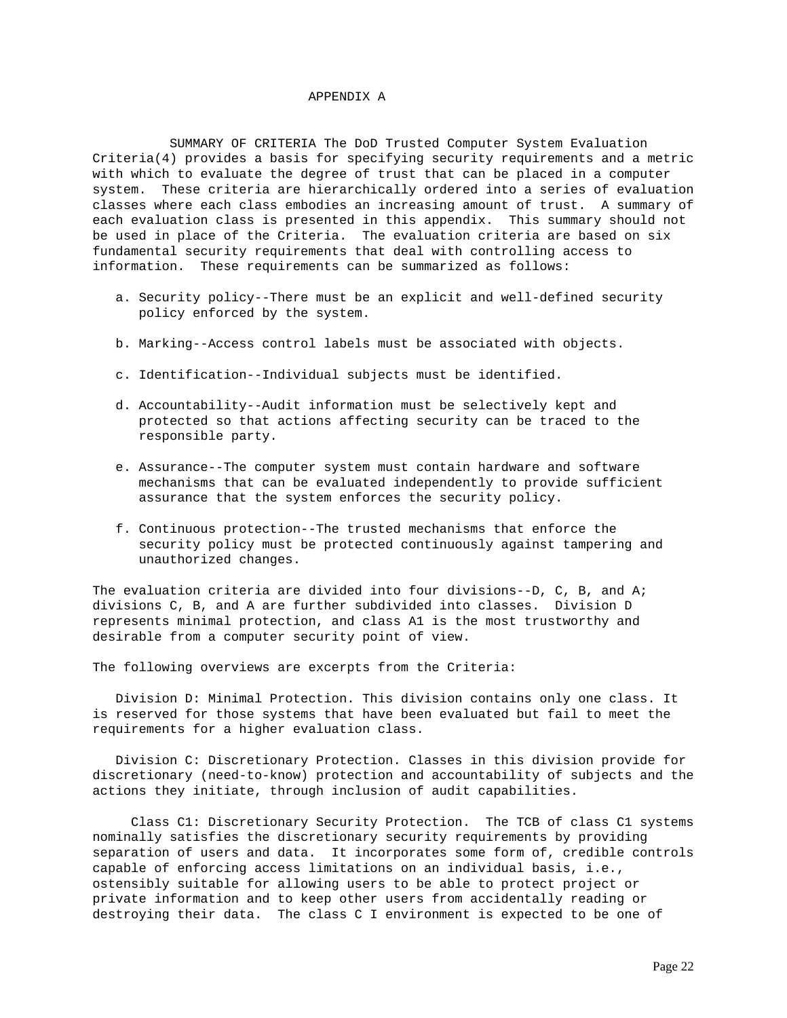#### APPENDIX A

 SUMMARY OF CRITERIA The DoD Trusted Computer System Evaluation Criteria(4) provides a basis for specifying security requirements and a metric with which to evaluate the degree of trust that can be placed in a computer system. These criteria are hierarchically ordered into a series of evaluation classes where each class embodies an increasing amount of trust. A summary of each evaluation class is presented in this appendix. This summary should not be used in place of the Criteria. The evaluation criteria are based on six fundamental security requirements that deal with controlling access to information. These requirements can be summarized as follows:

- a. Security policy--There must be an explicit and well-defined security policy enforced by the system.
- b. Marking--Access control labels must be associated with objects.
- c. Identification--Individual subjects must be identified.
- d. Accountability--Audit information must be selectively kept and protected so that actions affecting security can be traced to the responsible party.
- e. Assurance--The computer system must contain hardware and software mechanisms that can be evaluated independently to provide sufficient assurance that the system enforces the security policy.
- f. Continuous protection--The trusted mechanisms that enforce the security policy must be protected continuously against tampering and unauthorized changes.

The evaluation criteria are divided into four divisions--D, C, B, and A; divisions C, B, and A are further subdivided into classes. Division D represents minimal protection, and class A1 is the most trustworthy and desirable from a computer security point of view.

The following overviews are excerpts from the Criteria:

 Division D: Minimal Protection. This division contains only one class. It is reserved for those systems that have been evaluated but fail to meet the requirements for a higher evaluation class.

 Division C: Discretionary Protection. Classes in this division provide for discretionary (need-to-know) protection and accountability of subjects and the actions they initiate, through inclusion of audit capabilities.

 Class C1: Discretionary Security Protection. The TCB of class C1 systems nominally satisfies the discretionary security requirements by providing separation of users and data. It incorporates some form of, credible controls capable of enforcing access limitations on an individual basis, i.e., ostensibly suitable for allowing users to be able to protect project or private information and to keep other users from accidentally reading or destroying their data. The class C I environment is expected to be one of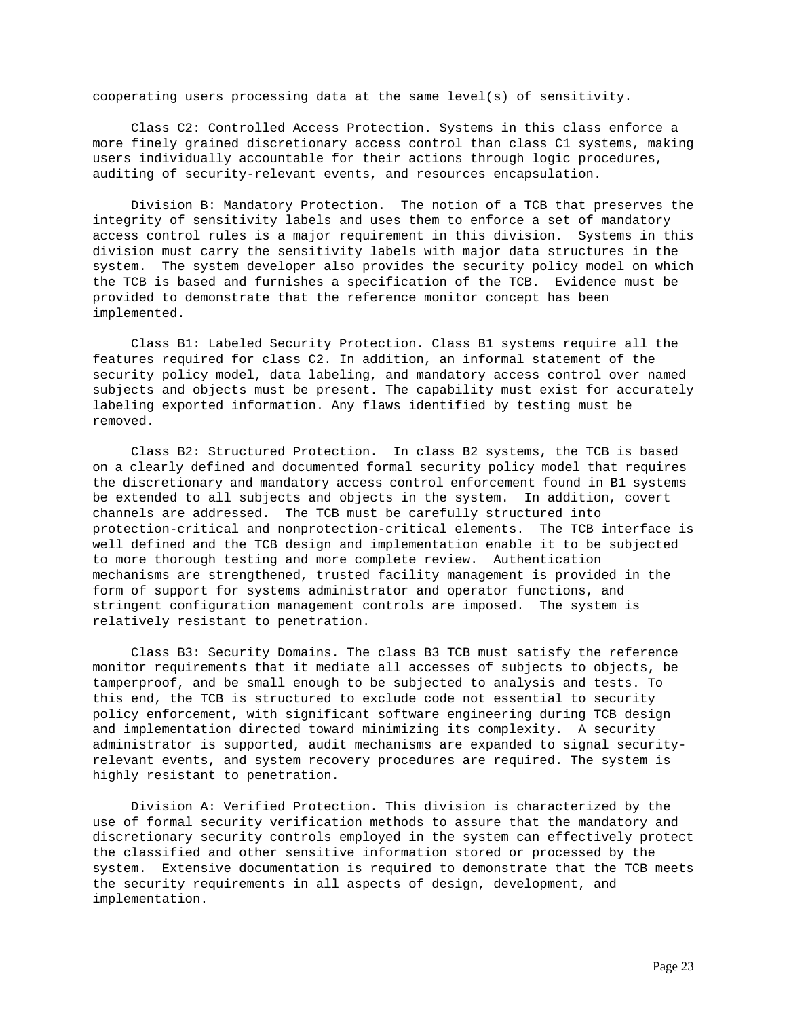cooperating users processing data at the same level(s) of sensitivity.

 Class C2: Controlled Access Protection. Systems in this class enforce a more finely grained discretionary access control than class C1 systems, making users individually accountable for their actions through logic procedures, auditing of security-relevant events, and resources encapsulation.

 Division B: Mandatory Protection. The notion of a TCB that preserves the integrity of sensitivity labels and uses them to enforce a set of mandatory access control rules is a major requirement in this division. Systems in this division must carry the sensitivity labels with major data structures in the system. The system developer also provides the security policy model on which the TCB is based and furnishes a specification of the TCB. Evidence must be provided to demonstrate that the reference monitor concept has been implemented.

 Class B1: Labeled Security Protection. Class B1 systems require all the features required for class C2. In addition, an informal statement of the security policy model, data labeling, and mandatory access control over named subjects and objects must be present. The capability must exist for accurately labeling exported information. Any flaws identified by testing must be removed.

 Class B2: Structured Protection. In class B2 systems, the TCB is based on a clearly defined and documented formal security policy model that requires the discretionary and mandatory access control enforcement found in B1 systems be extended to all subjects and objects in the system. In addition, covert channels are addressed. The TCB must be carefully structured into protection-critical and nonprotection-critical elements. The TCB interface is well defined and the TCB design and implementation enable it to be subjected to more thorough testing and more complete review. Authentication mechanisms are strengthened, trusted facility management is provided in the form of support for systems administrator and operator functions, and stringent configuration management controls are imposed. The system is relatively resistant to penetration.

 Class B3: Security Domains. The class B3 TCB must satisfy the reference monitor requirements that it mediate all accesses of subjects to objects, be tamperproof, and be small enough to be subjected to analysis and tests. To this end, the TCB is structured to exclude code not essential to security policy enforcement, with significant software engineering during TCB design and implementation directed toward minimizing its complexity. A security administrator is supported, audit mechanisms are expanded to signal securityrelevant events, and system recovery procedures are required. The system is highly resistant to penetration.

 Division A: Verified Protection. This division is characterized by the use of formal security verification methods to assure that the mandatory and discretionary security controls employed in the system can effectively protect the classified and other sensitive information stored or processed by the system. Extensive documentation is required to demonstrate that the TCB meets the security requirements in all aspects of design, development, and implementation.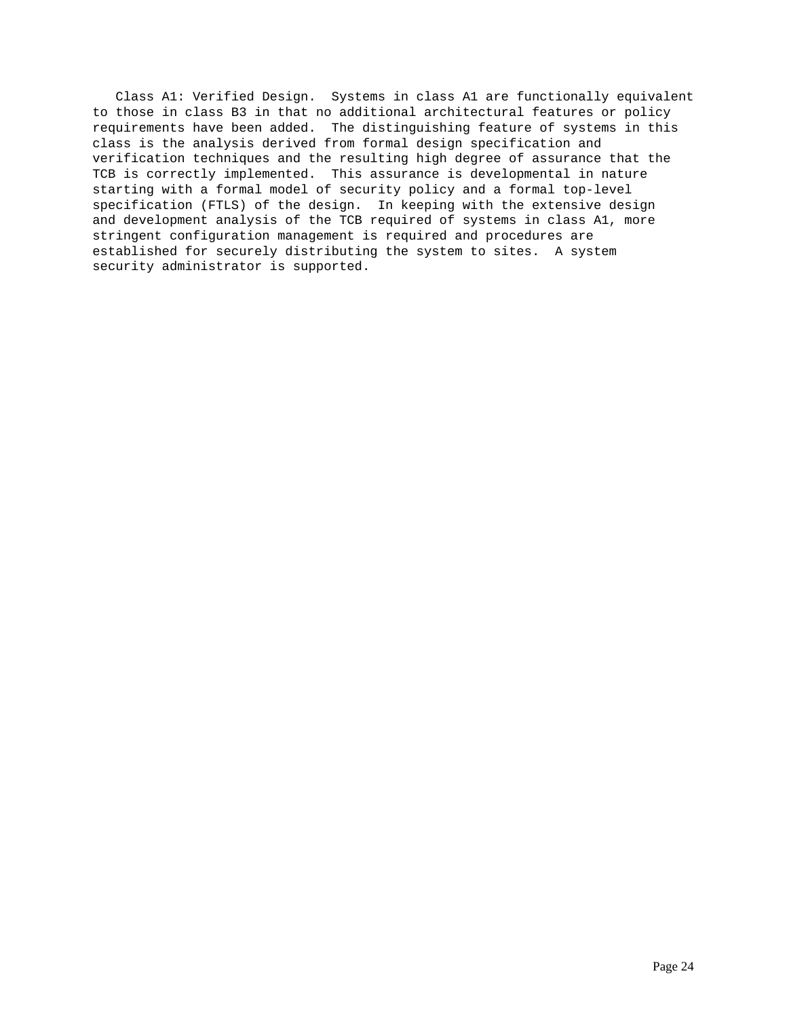Class A1: Verified Design. Systems in class A1 are functionally equivalent to those in class B3 in that no additional architectural features or policy requirements have been added. The distinguishing feature of systems in this class is the analysis derived from formal design specification and verification techniques and the resulting high degree of assurance that the TCB is correctly implemented. This assurance is developmental in nature starting with a formal model of security policy and a formal top-level specification (FTLS) of the design. In keeping with the extensive design and development analysis of the TCB required of systems in class A1, more stringent configuration management is required and procedures are established for securely distributing the system to sites. A system security administrator is supported.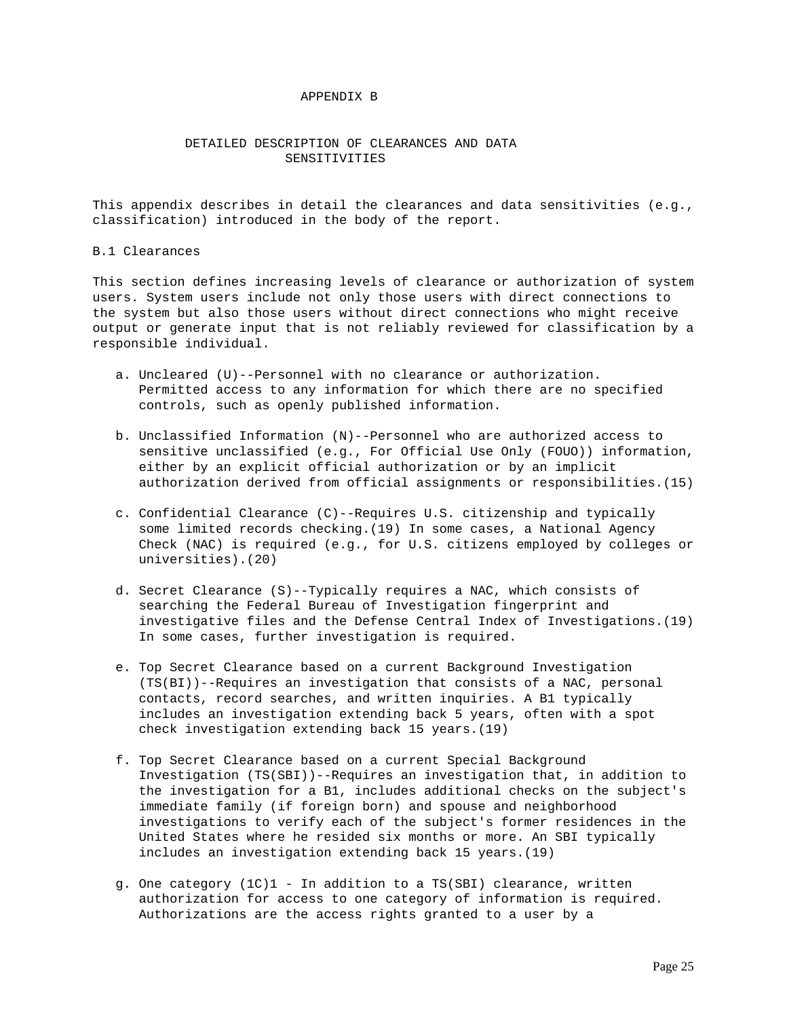### APPENDIX B

# DETAILED DESCRIPTION OF CLEARANCES AND DATA SENSITIVITIES

This appendix describes in detail the clearances and data sensitivities (e.g., classification) introduced in the body of the report.

# B.1 Clearances

This section defines increasing levels of clearance or authorization of system users. System users include not only those users with direct connections to the system but also those users without direct connections who might receive output or generate input that is not reliably reviewed for classification by a responsible individual.

- a. Uncleared (U)--Personnel with no clearance or authorization. Permitted access to any information for which there are no specified controls, such as openly published information.
- b. Unclassified Information (N)--Personnel who are authorized access to sensitive unclassified (e.g., For Official Use Only (FOUO)) information, either by an explicit official authorization or by an implicit authorization derived from official assignments or responsibilities.(15)
- c. Confidential Clearance (C)--Requires U.S. citizenship and typically some limited records checking.(19) In some cases, a National Agency Check (NAC) is required (e.g., for U.S. citizens employed by colleges or universities).(20)
- d. Secret Clearance (S)--Typically requires a NAC, which consists of searching the Federal Bureau of Investigation fingerprint and investigative files and the Defense Central Index of Investigations.(19) In some cases, further investigation is required.
- e. Top Secret Clearance based on a current Background Investigation (TS(BI))--Requires an investigation that consists of a NAC, personal contacts, record searches, and written inquiries. A B1 typically includes an investigation extending back 5 years, often with a spot check investigation extending back 15 years.(19)
- f. Top Secret Clearance based on a current Special Background Investigation (TS(SBI))--Requires an investigation that, in addition to the investigation for a B1, includes additional checks on the subject's immediate family (if foreign born) and spouse and neighborhood investigations to verify each of the subject's former residences in the United States where he resided six months or more. An SBI typically includes an investigation extending back 15 years.(19)
- g. One category (1C)1 In addition to a TS(SBI) clearance, written authorization for access to one category of information is required. Authorizations are the access rights granted to a user by a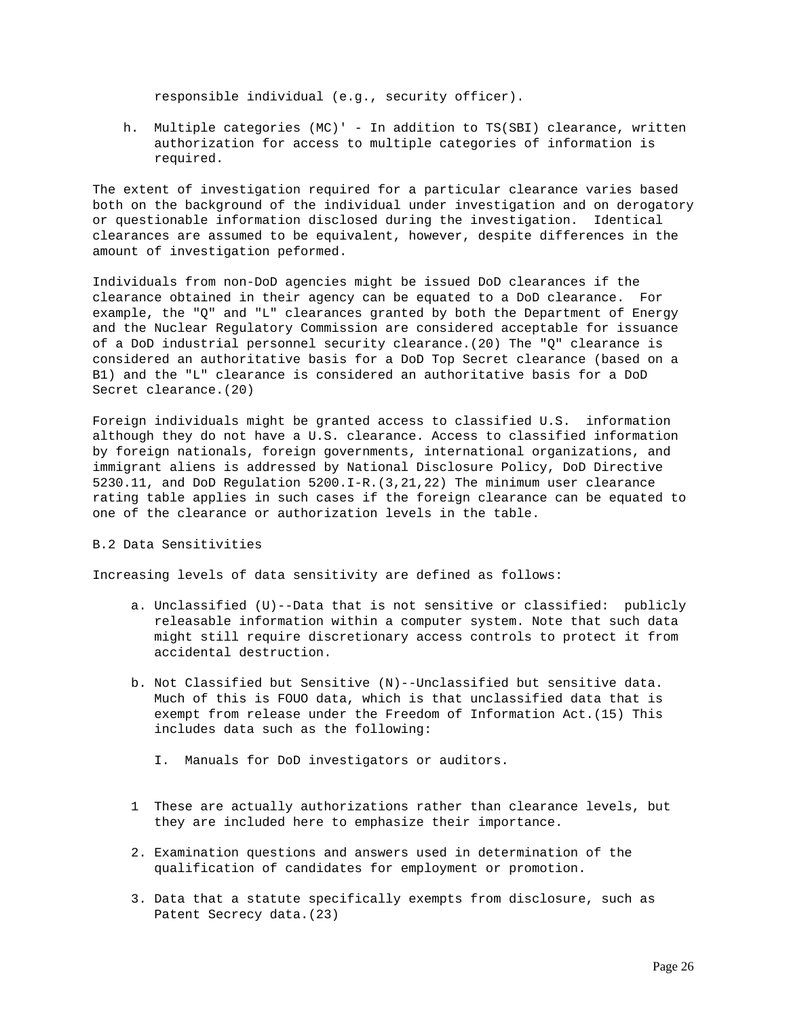responsible individual (e.g., security officer).

h. Multiple categories (MC)' - In addition to TS(SBI) clearance, written authorization for access to multiple categories of information is required.

The extent of investigation required for a particular clearance varies based both on the background of the individual under investigation and on derogatory or questionable information disclosed during the investigation. Identical clearances are assumed to be equivalent, however, despite differences in the amount of investigation peformed.

Individuals from non-DoD agencies might be issued DoD clearances if the clearance obtained in their agency can be equated to a DoD clearance. For example, the "Q" and "L" clearances granted by both the Department of Energy and the Nuclear Regulatory Commission are considered acceptable for issuance of a DoD industrial personnel security clearance.(20) The "Q" clearance is considered an authoritative basis for a DoD Top Secret clearance (based on a B1) and the "L" clearance is considered an authoritative basis for a DoD Secret clearance.(20)

Foreign individuals might be granted access to classified U.S. information although they do not have a U.S. clearance. Access to classified information by foreign nationals, foreign governments, international organizations, and immigrant aliens is addressed by National Disclosure Policy, DoD Directive 5230.11, and DoD Regulation 5200.I-R.(3,21,22) The minimum user clearance rating table applies in such cases if the foreign clearance can be equated to one of the clearance or authorization levels in the table.

# B.2 Data Sensitivities

Increasing levels of data sensitivity are defined as follows:

- a. Unclassified (U)--Data that is not sensitive or classified: publicly releasable information within a computer system. Note that such data might still require discretionary access controls to protect it from accidental destruction.
- b. Not Classified but Sensitive (N)--Unclassified but sensitive data. Much of this is FOUO data, which is that unclassified data that is exempt from release under the Freedom of Information Act.(15) This includes data such as the following:
	- I. Manuals for DoD investigators or auditors.
- 1 These are actually authorizations rather than clearance levels, but they are included here to emphasize their importance.
- 2. Examination questions and answers used in determination of the qualification of candidates for employment or promotion.
- 3. Data that a statute specifically exempts from disclosure, such as Patent Secrecy data.(23)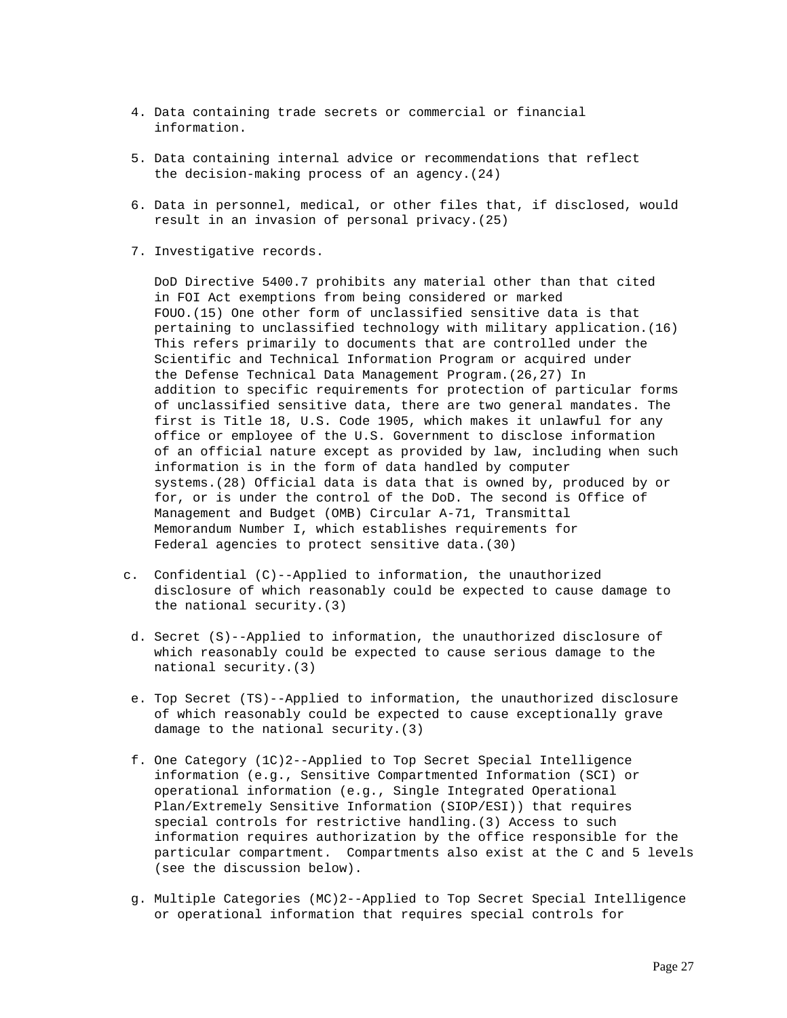- 4. Data containing trade secrets or commercial or financial information.
- 5. Data containing internal advice or recommendations that reflect the decision-making process of an agency.(24)
- 6. Data in personnel, medical, or other files that, if disclosed, would result in an invasion of personal privacy.(25)
- 7. Investigative records.

 DoD Directive 5400.7 prohibits any material other than that cited in FOI Act exemptions from being considered or marked FOUO.(15) One other form of unclassified sensitive data is that pertaining to unclassified technology with military application.(16) This refers primarily to documents that are controlled under the Scientific and Technical Information Program or acquired under the Defense Technical Data Management Program.(26,27) In addition to specific requirements for protection of particular forms of unclassified sensitive data, there are two general mandates. The first is Title 18, U.S. Code 1905, which makes it unlawful for any office or employee of the U.S. Government to disclose information of an official nature except as provided by law, including when such information is in the form of data handled by computer systems.(28) Official data is data that is owned by, produced by or for, or is under the control of the DoD. The second is Office of Management and Budget (OMB) Circular A-71, Transmittal Memorandum Number I, which establishes requirements for Federal agencies to protect sensitive data.(30)

- c. Confidential (C)--Applied to information, the unauthorized disclosure of which reasonably could be expected to cause damage to the national security.(3)
- d. Secret (S)--Applied to information, the unauthorized disclosure of which reasonably could be expected to cause serious damage to the national security.(3)
- e. Top Secret (TS)--Applied to information, the unauthorized disclosure of which reasonably could be expected to cause exceptionally grave damage to the national security.(3)
- f. One Category (1C)2--Applied to Top Secret Special Intelligence information (e.g., Sensitive Compartmented Information (SCI) or operational information (e.g., Single Integrated Operational Plan/Extremely Sensitive Information (SIOP/ESI)) that requires special controls for restrictive handling.(3) Access to such information requires authorization by the office responsible for the particular compartment. Compartments also exist at the C and 5 levels (see the discussion below).
- g. Multiple Categories (MC)2--Applied to Top Secret Special Intelligence or operational information that requires special controls for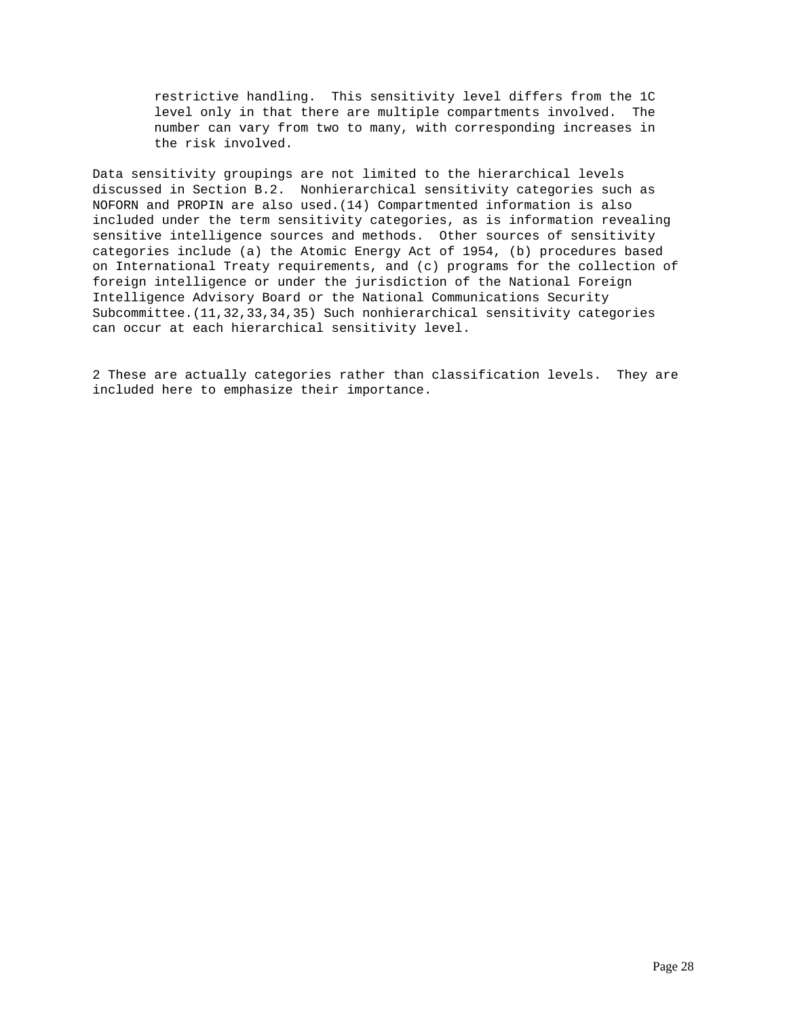restrictive handling. This sensitivity level differs from the 1C level only in that there are multiple compartments involved. The number can vary from two to many, with corresponding increases in the risk involved.

Data sensitivity groupings are not limited to the hierarchical levels discussed in Section B.2. Nonhierarchical sensitivity categories such as NOFORN and PROPIN are also used.(14) Compartmented information is also included under the term sensitivity categories, as is information revealing sensitive intelligence sources and methods. Other sources of sensitivity categories include (a) the Atomic Energy Act of 1954, (b) procedures based on International Treaty requirements, and (c) programs for the collection of foreign intelligence or under the jurisdiction of the National Foreign Intelligence Advisory Board or the National Communications Security Subcommittee.(11,32,33,34,35) Such nonhierarchical sensitivity categories can occur at each hierarchical sensitivity level.

2 These are actually categories rather than classification levels. They are included here to emphasize their importance.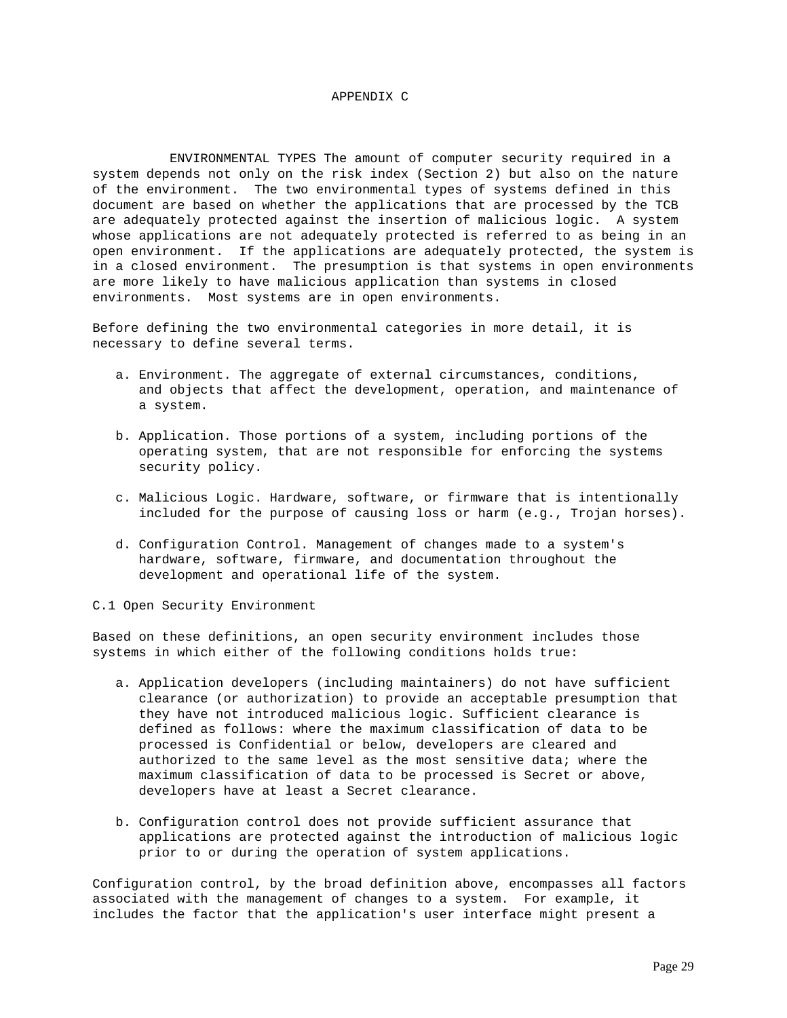## APPENDIX C

 ENVIRONMENTAL TYPES The amount of computer security required in a system depends not only on the risk index (Section 2) but also on the nature of the environment. The two environmental types of systems defined in this document are based on whether the applications that are processed by the TCB are adequately protected against the insertion of malicious logic. A system whose applications are not adequately protected is referred to as being in an open environment. If the applications are adequately protected, the system is in a closed environment. The presumption is that systems in open environments are more likely to have malicious application than systems in closed environments. Most systems are in open environments.

Before defining the two environmental categories in more detail, it is necessary to define several terms.

- a. Environment. The aggregate of external circumstances, conditions, and objects that affect the development, operation, and maintenance of a system.
- b. Application. Those portions of a system, including portions of the operating system, that are not responsible for enforcing the systems security policy.
- c. Malicious Logic. Hardware, software, or firmware that is intentionally included for the purpose of causing loss or harm (e.g., Trojan horses).
- d. Configuration Control. Management of changes made to a system's hardware, software, firmware, and documentation throughout the development and operational life of the system.

C.1 Open Security Environment

Based on these definitions, an open security environment includes those systems in which either of the following conditions holds true:

- a. Application developers (including maintainers) do not have sufficient clearance (or authorization) to provide an acceptable presumption that they have not introduced malicious logic. Sufficient clearance is defined as follows: where the maximum classification of data to be processed is Confidential or below, developers are cleared and authorized to the same level as the most sensitive data; where the maximum classification of data to be processed is Secret or above, developers have at least a Secret clearance.
- b. Configuration control does not provide sufficient assurance that applications are protected against the introduction of malicious logic prior to or during the operation of system applications.

Configuration control, by the broad definition above, encompasses all factors associated with the management of changes to a system. For example, it includes the factor that the application's user interface might present a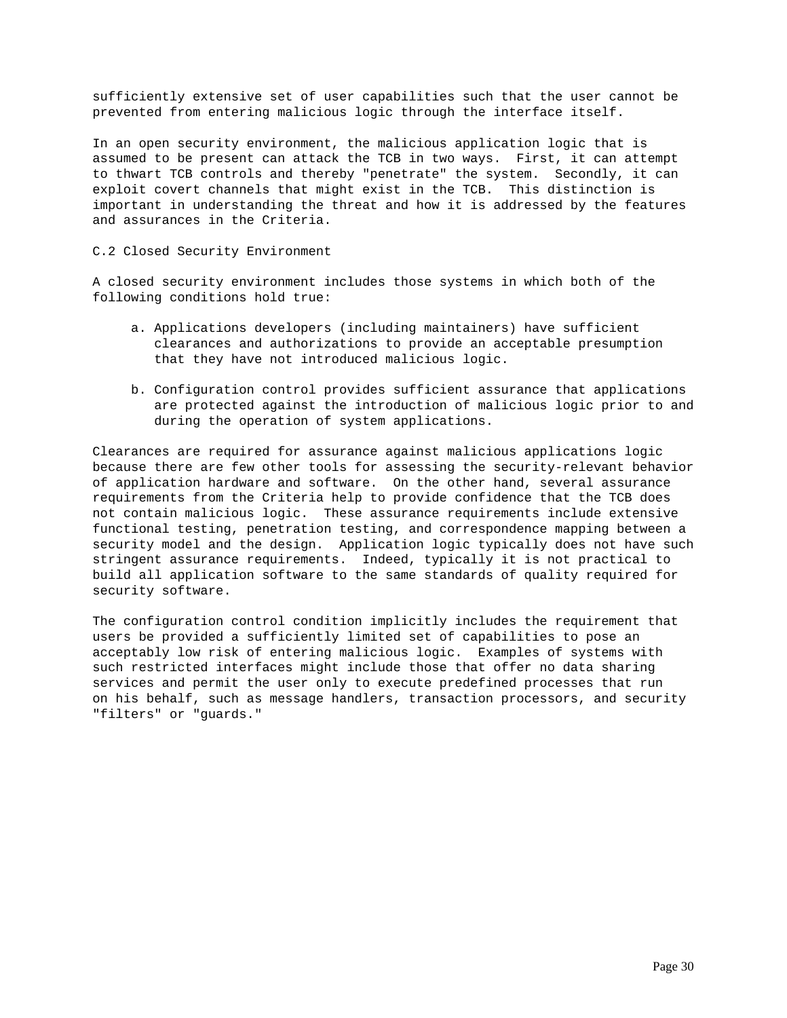sufficiently extensive set of user capabilities such that the user cannot be prevented from entering malicious logic through the interface itself.

In an open security environment, the malicious application logic that is assumed to be present can attack the TCB in two ways. First, it can attempt to thwart TCB controls and thereby "penetrate" the system. Secondly, it can exploit covert channels that might exist in the TCB. This distinction is important in understanding the threat and how it is addressed by the features and assurances in the Criteria.

C.2 Closed Security Environment

A closed security environment includes those systems in which both of the following conditions hold true:

- a. Applications developers (including maintainers) have sufficient clearances and authorizations to provide an acceptable presumption that they have not introduced malicious logic.
- b. Configuration control provides sufficient assurance that applications are protected against the introduction of malicious logic prior to and during the operation of system applications.

Clearances are required for assurance against malicious applications logic because there are few other tools for assessing the security-relevant behavior of application hardware and software. On the other hand, several assurance requirements from the Criteria help to provide confidence that the TCB does not contain malicious logic. These assurance requirements include extensive functional testing, penetration testing, and correspondence mapping between a security model and the design. Application logic typically does not have such stringent assurance requirements. Indeed, typically it is not practical to build all application software to the same standards of quality required for security software.

The configuration control condition implicitly includes the requirement that users be provided a sufficiently limited set of capabilities to pose an acceptably low risk of entering malicious logic. Examples of systems with such restricted interfaces might include those that offer no data sharing services and permit the user only to execute predefined processes that run on his behalf, such as message handlers, transaction processors, and security "filters" or "guards."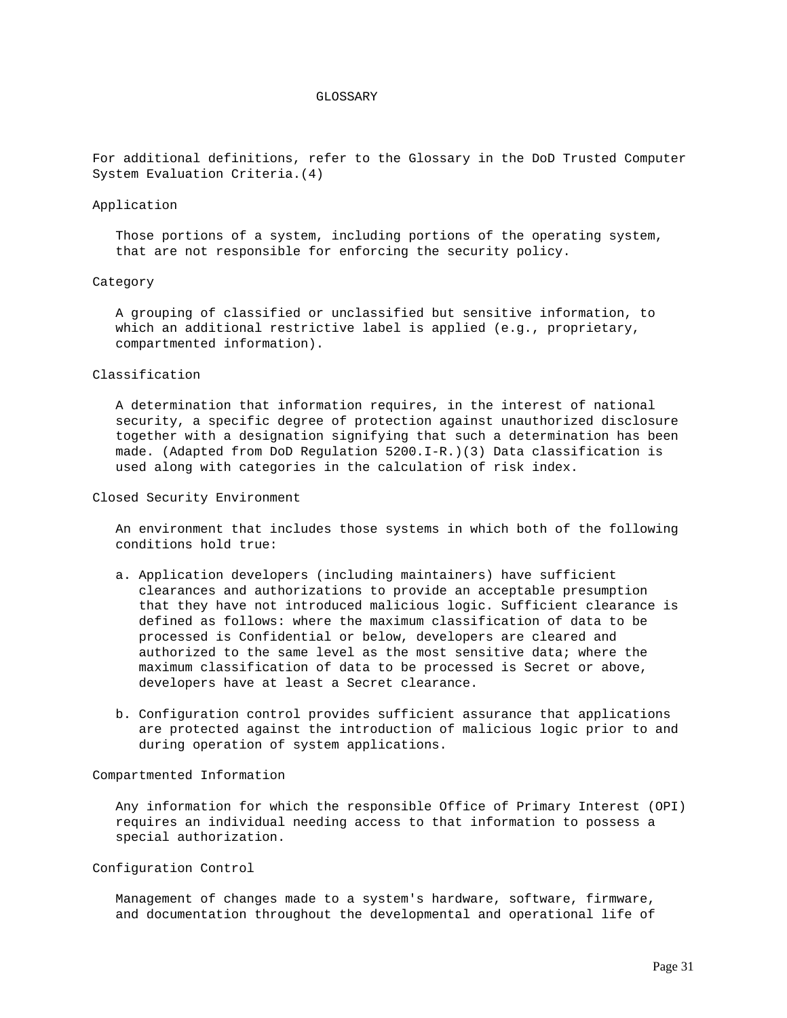#### GLOSSARY

For additional definitions, refer to the Glossary in the DoD Trusted Computer System Evaluation Criteria.(4)

# Application

 Those portions of a system, including portions of the operating system, that are not responsible for enforcing the security policy.

# Category

 A grouping of classified or unclassified but sensitive information, to which an additional restrictive label is applied (e.g., proprietary, compartmented information).

# Classification

 A determination that information requires, in the interest of national security, a specific degree of protection against unauthorized disclosure together with a designation signifying that such a determination has been made. (Adapted from DoD Regulation 5200.I-R.)(3) Data classification is used along with categories in the calculation of risk index.

Closed Security Environment

 An environment that includes those systems in which both of the following conditions hold true:

- a. Application developers (including maintainers) have sufficient clearances and authorizations to provide an acceptable presumption that they have not introduced malicious logic. Sufficient clearance is defined as follows: where the maximum classification of data to be processed is Confidential or below, developers are cleared and authorized to the same level as the most sensitive data; where the maximum classification of data to be processed is Secret or above, developers have at least a Secret clearance.
- b. Configuration control provides sufficient assurance that applications are protected against the introduction of malicious logic prior to and during operation of system applications.

# Compartmented Information

 Any information for which the responsible Office of Primary Interest (OPI) requires an individual needing access to that information to possess a special authorization.

Configuration Control

 Management of changes made to a system's hardware, software, firmware, and documentation throughout the developmental and operational life of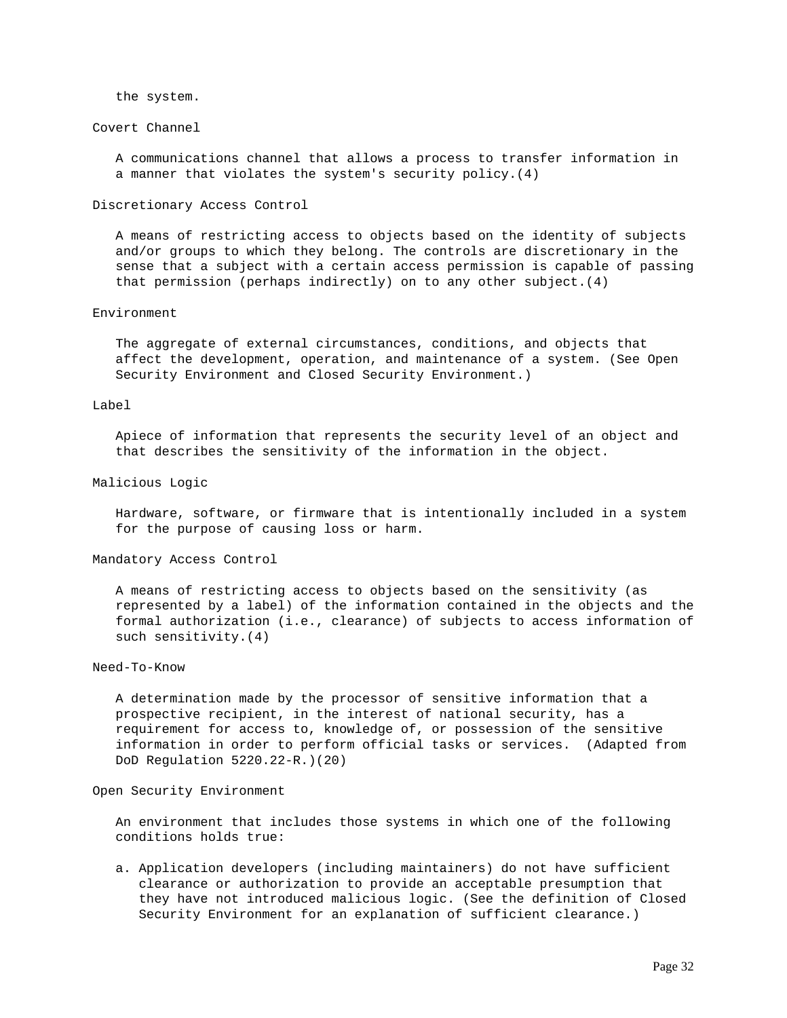the system.

#### Covert Channel

 A communications channel that allows a process to transfer information in a manner that violates the system's security policy.(4)

### Discretionary Access Control

 A means of restricting access to objects based on the identity of subjects and/or groups to which they belong. The controls are discretionary in the sense that a subject with a certain access permission is capable of passing that permission (perhaps indirectly) on to any other subject.(4)

# Environment

 The aggregate of external circumstances, conditions, and objects that affect the development, operation, and maintenance of a system. (See Open Security Environment and Closed Security Environment.)

#### Label

 Apiece of information that represents the security level of an object and that describes the sensitivity of the information in the object.

### Malicious Logic

 Hardware, software, or firmware that is intentionally included in a system for the purpose of causing loss or harm.

#### Mandatory Access Control

 A means of restricting access to objects based on the sensitivity (as represented by a label) of the information contained in the objects and the formal authorization (i.e., clearance) of subjects to access information of such sensitivity.(4)

#### Need-To-Know

 A determination made by the processor of sensitive information that a prospective recipient, in the interest of national security, has a requirement for access to, knowledge of, or possession of the sensitive information in order to perform official tasks or services. (Adapted from DoD Regulation 5220.22-R.)(20)

# Open Security Environment

 An environment that includes those systems in which one of the following conditions holds true:

 a. Application developers (including maintainers) do not have sufficient clearance or authorization to provide an acceptable presumption that they have not introduced malicious logic. (See the definition of Closed Security Environment for an explanation of sufficient clearance.)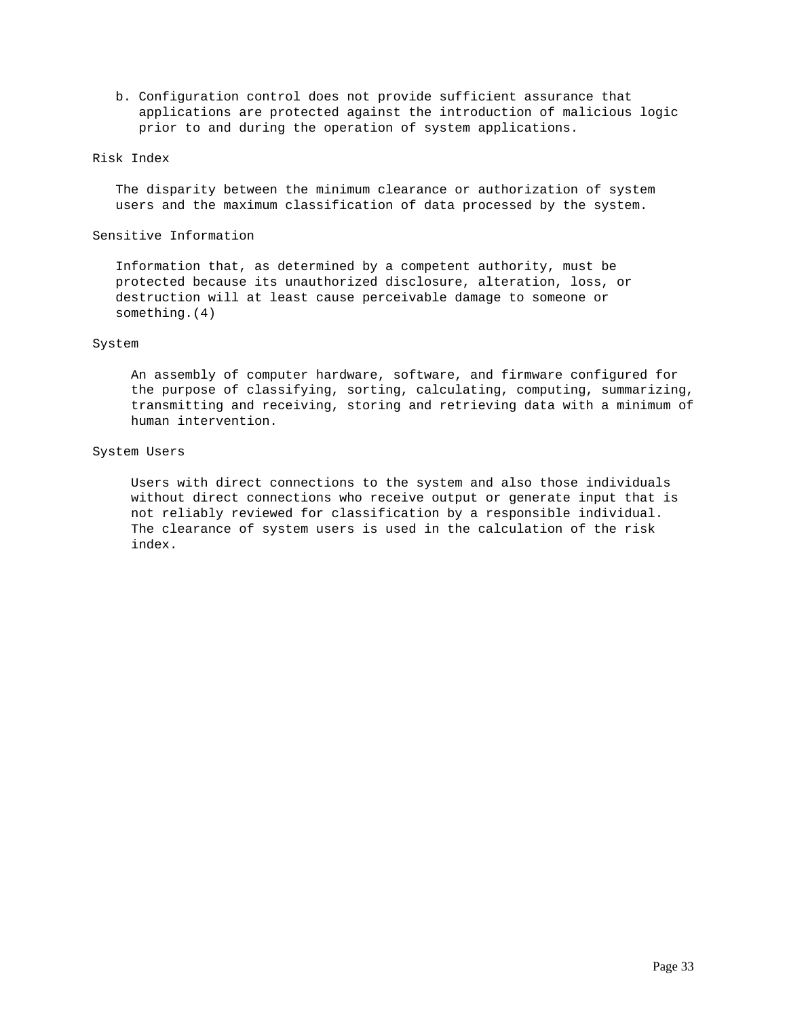b. Configuration control does not provide sufficient assurance that applications are protected against the introduction of malicious logic prior to and during the operation of system applications.

# Risk Index

 The disparity between the minimum clearance or authorization of system users and the maximum classification of data processed by the system.

# Sensitive Information

 Information that, as determined by a competent authority, must be protected because its unauthorized disclosure, alteration, loss, or destruction will at least cause perceivable damage to someone or something.(4)

### System

 An assembly of computer hardware, software, and firmware configured for the purpose of classifying, sorting, calculating, computing, summarizing, transmitting and receiving, storing and retrieving data with a minimum of human intervention.

# System Users

 Users with direct connections to the system and also those individuals without direct connections who receive output or generate input that is not reliably reviewed for classification by a responsible individual. The clearance of system users is used in the calculation of the risk index.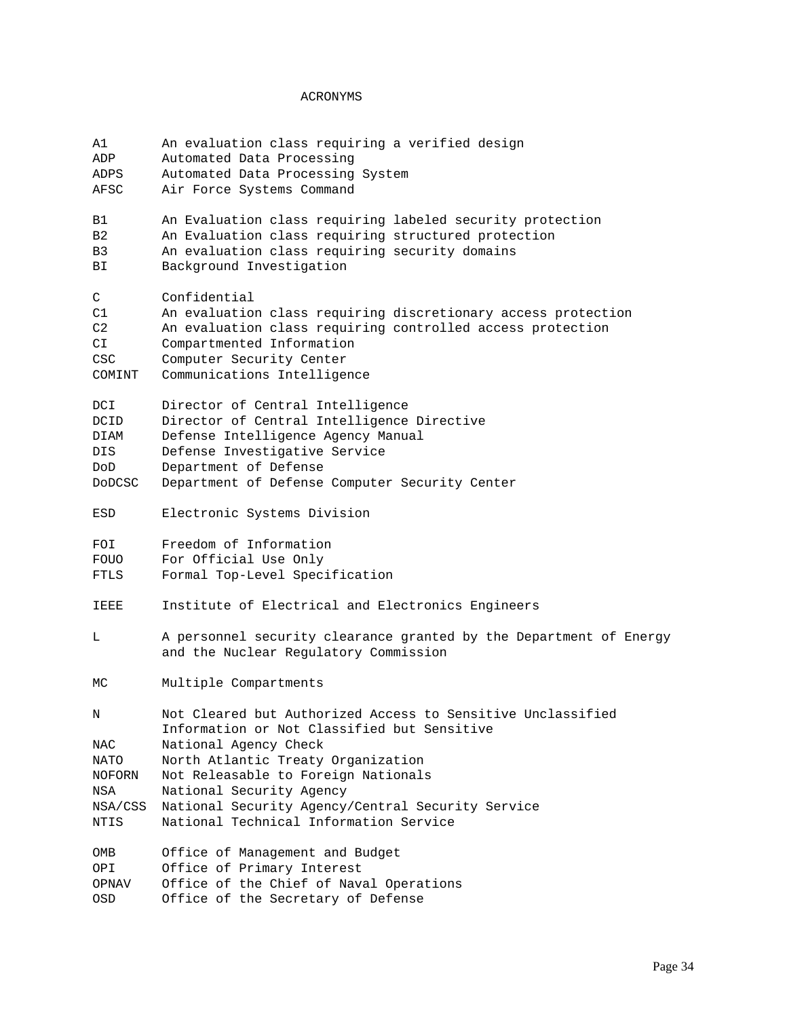### ACRONYMS

A1 An evaluation class requiring a verified design ADP Automated Data Processing ADPS Automated Data Processing System AFSC Air Force Systems Command B1 An Evaluation class requiring labeled security protection B2 An Evaluation class requiring structured protection B3 An evaluation class requiring security domains BI Background Investigation C Confidential C1 An evaluation class requiring discretionary access protection C2 An evaluation class requiring controlled access protection CI Compartmented Information CSC Computer Security Center COMINT Communications Intelligence DCI Director of Central Intelligence DCID Director of Central Intelligence Directive DIAM Defense Intelligence Agency Manual DIS Defense Investigative Service DoD Department of Defense DoDCSC Department of Defense Computer Security Center ESD Electronic Systems Division FOI Freedom of Information FOUO For Official Use Only FTLS Formal Top-Level Specification IEEE Institute of Electrical and Electronics Engineers L A personnel security clearance granted by the Department of Energy and the Nuclear Regulatory Commission MC Multiple Compartments N Not Cleared but Authorized Access to Sensitive Unclassified Information or Not Classified but Sensitive NAC National Agency Check NATO North Atlantic Treaty Organization NOFORN Not Releasable to Foreign Nationals NSA National Security Agency NSA/CSS National Security Agency/Central Security Service NTIS National Technical Information Service OMB Office of Management and Budget OPI Office of Primary Interest OPNAV Office of the Chief of Naval Operations OSD Office of the Secretary of Defense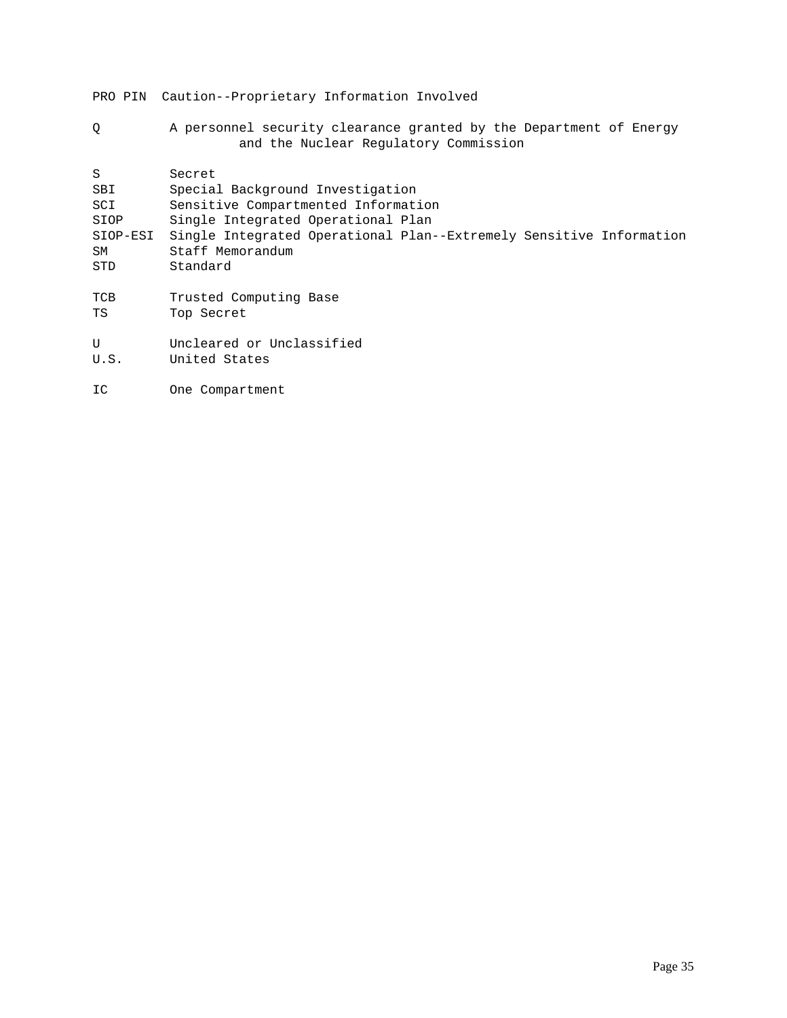PRO PIN Caution--Proprietary Information Involved

Q A personnel security clearance granted by the Department of Energy and the Nuclear Regulatory Commission

| S        | Secret                                                              |
|----------|---------------------------------------------------------------------|
| SBI      | Special Background Investigation                                    |
| SCI      | Sensitive Compartmented Information                                 |
| SIOP     | Single Integrated Operational Plan                                  |
| SIOP-ESI | Single Integrated Operational Plan--Extremely Sensitive Information |
| SM       | Staff Memorandum                                                    |
| STD      | Standard                                                            |
| TCB      | Trusted Computing Base                                              |
| TS       | Top Secret                                                          |
| U        | Uncleared or Unclassified                                           |
| U.S.     | United States                                                       |
| IC.      | One Compartment                                                     |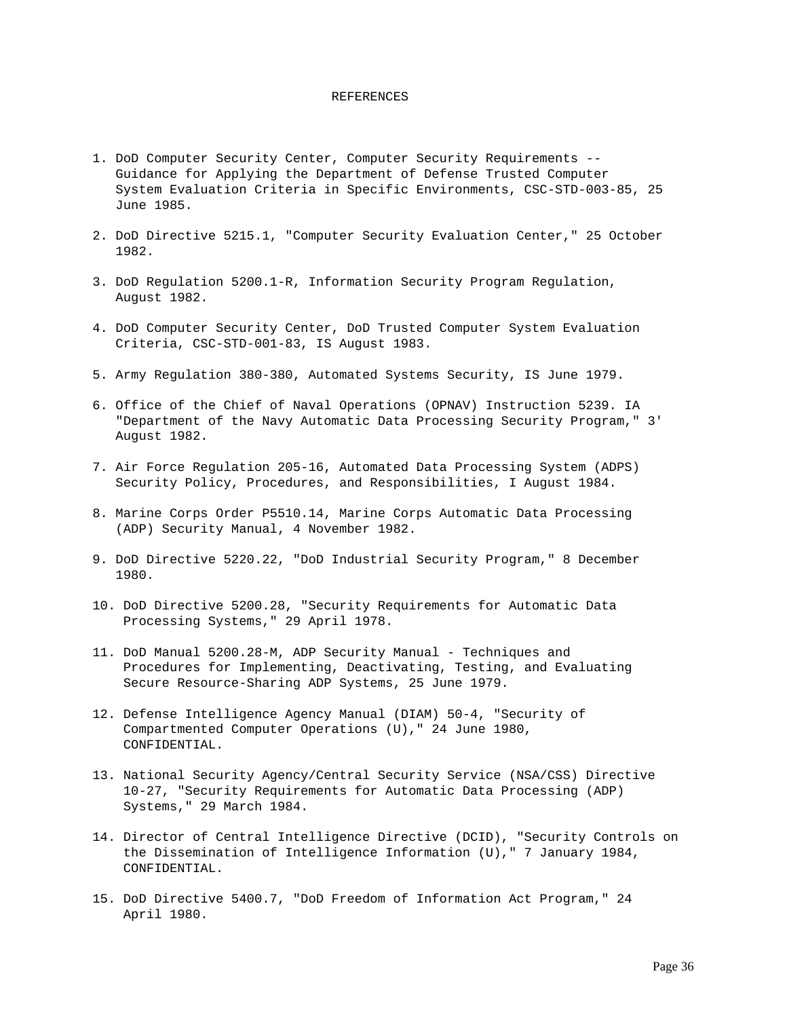### REFERENCES

- 1. DoD Computer Security Center, Computer Security Requirements -- Guidance for Applying the Department of Defense Trusted Computer System Evaluation Criteria in Specific Environments, CSC-STD-003-85, 25 June 1985.
- 2. DoD Directive 5215.1, "Computer Security Evaluation Center," 25 October 1982.
- 3. DoD Regulation 5200.1-R, Information Security Program Regulation, August 1982.
- 4. DoD Computer Security Center, DoD Trusted Computer System Evaluation Criteria, CSC-STD-001-83, IS August 1983.
- 5. Army Regulation 380-380, Automated Systems Security, IS June 1979.
- 6. Office of the Chief of Naval Operations (OPNAV) Instruction 5239. IA "Department of the Navy Automatic Data Processing Security Program," 3' August 1982.
- 7. Air Force Regulation 205-16, Automated Data Processing System (ADPS) Security Policy, Procedures, and Responsibilities, I August 1984.
- 8. Marine Corps Order P5510.14, Marine Corps Automatic Data Processing (ADP) Security Manual, 4 November 1982.
- 9. DoD Directive 5220.22, "DoD Industrial Security Program," 8 December 1980.
- 10. DoD Directive 5200.28, "Security Requirements for Automatic Data Processing Systems," 29 April 1978.
- 11. DoD Manual 5200.28-M, ADP Security Manual Techniques and Procedures for Implementing, Deactivating, Testing, and Evaluating Secure Resource-Sharing ADP Systems, 25 June 1979.
- 12. Defense Intelligence Agency Manual (DIAM) 50-4, "Security of Compartmented Computer Operations (U)," 24 June 1980, CONFIDENTIAL.
- 13. National Security Agency/Central Security Service (NSA/CSS) Directive 10-27, "Security Requirements for Automatic Data Processing (ADP) Systems," 29 March 1984.
- 14. Director of Central Intelligence Directive (DCID), "Security Controls on the Dissemination of Intelligence Information (U)," 7 January 1984, CONFIDENTIAL.
- 15. DoD Directive 5400.7, "DoD Freedom of Information Act Program," 24 April 1980.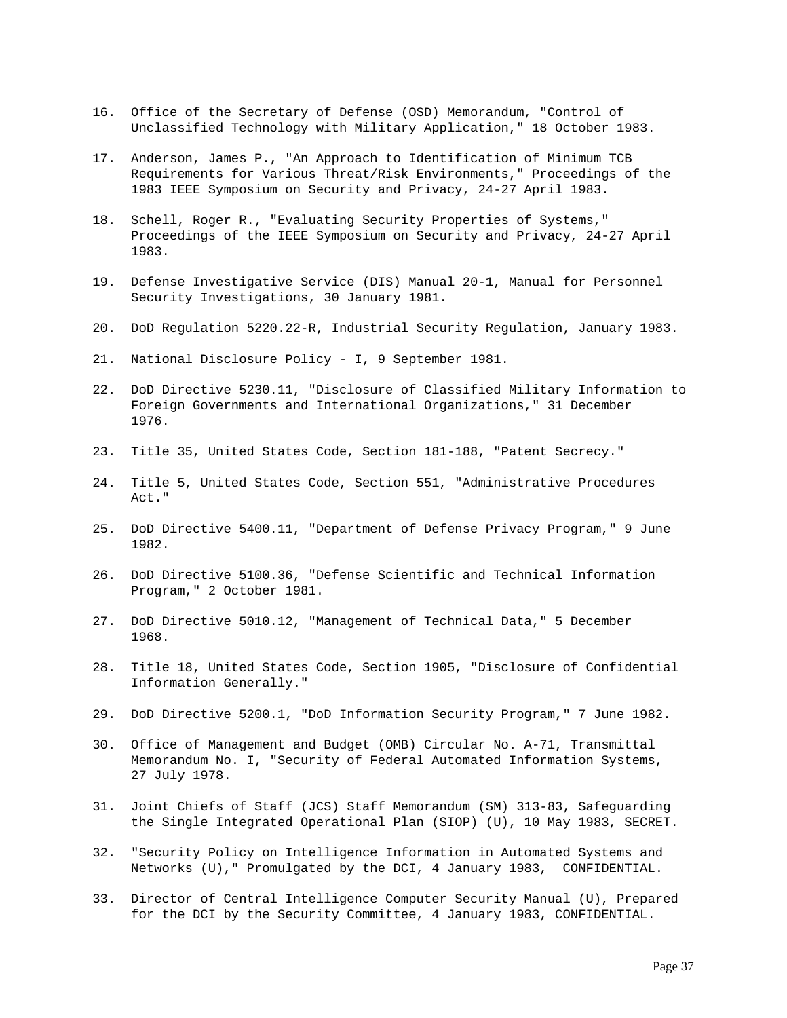- 16. Office of the Secretary of Defense (OSD) Memorandum, "Control of Unclassified Technology with Military Application," 18 October 1983.
- 17. Anderson, James P., "An Approach to Identification of Minimum TCB Requirements for Various Threat/Risk Environments," Proceedings of the 1983 IEEE Symposium on Security and Privacy, 24-27 April 1983.
- 18. Schell, Roger R., "Evaluating Security Properties of Systems," Proceedings of the IEEE Symposium on Security and Privacy, 24-27 April 1983.
- 19. Defense Investigative Service (DIS) Manual 20-1, Manual for Personnel Security Investigations, 30 January 1981.
- 20. DoD Regulation 5220.22-R, Industrial Security Regulation, January 1983.
- 21. National Disclosure Policy I, 9 September 1981.
- 22. DoD Directive 5230.11, "Disclosure of Classified Military Information to Foreign Governments and International Organizations," 31 December 1976.
- 23. Title 35, United States Code, Section 181-188, "Patent Secrecy."
- 24. Title 5, United States Code, Section 551, "Administrative Procedures Act."
- 25. DoD Directive 5400.11, "Department of Defense Privacy Program," 9 June 1982.
- 26. DoD Directive 5100.36, "Defense Scientific and Technical Information Program," 2 October 1981.
- 27. DoD Directive 5010.12, "Management of Technical Data," 5 December 1968.
- 28. Title 18, United States Code, Section 1905, "Disclosure of Confidential Information Generally."
- 29. DoD Directive 5200.1, "DoD Information Security Program," 7 June 1982.
- 30. Office of Management and Budget (OMB) Circular No. A-71, Transmittal Memorandum No. I, "Security of Federal Automated Information Systems, 27 July 1978.
- 31. Joint Chiefs of Staff (JCS) Staff Memorandum (SM) 313-83, Safeguarding the Single Integrated Operational Plan (SIOP) (U), 10 May 1983, SECRET.
- 32. "Security Policy on Intelligence Information in Automated Systems and Networks (U)," Promulgated by the DCI, 4 January 1983, CONFIDENTIAL.
- 33. Director of Central Intelligence Computer Security Manual (U), Prepared for the DCI by the Security Committee, 4 January 1983, CONFIDENTIAL.